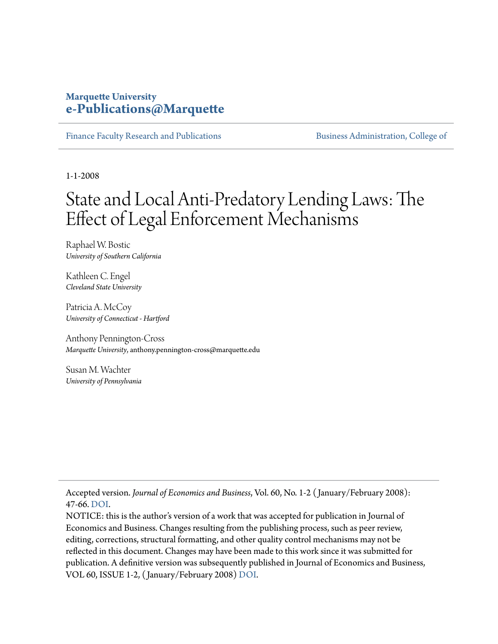# **Marquette University [e-Publications@Marquette](http://epublications.marquette.edu)**

[Finance Faculty Research and Publications](http://epublications.marquette.edu/fin_fac) **Business Administration**, College of

1-1-2008

# State and Local Anti-Predatory Lending Laws: The Effect of Legal Enforcement Mechanisms

Raphael W. Bostic *University of Southern California*

Kathleen C. Engel *Cleveland State University*

Patricia A. McCoy *University of Connecticut - Hartford*

Anthony Pennington-Cross *Marquette University*, anthony.pennington-cross@marquette.edu

Susan M. Wachter *University of Pennsylvania*

Accepted version. *Journal of Economics and Business*, Vol. 60, No. 1-2 ( January/February 2008): 47-66. [DOI](http://dx.doi.org/10.1016/j.jeconbus.2007.09.003).

NOTICE: this is the author's version of a work that was accepted for publication in Journal of Economics and Business. Changes resulting from the publishing process, such as peer review, editing, corrections, structural formatting, and other quality control mechanisms may not be reflected in this document. Changes may have been made to this work since it was submitted for publication. A definitive version was subsequently published in Journal of Economics and Business, VOL 60, ISSUE 1-2, ( January/February 2008) [DOI](http://dx.doi.org/10.1016/j.jeconbus.2007.09.003).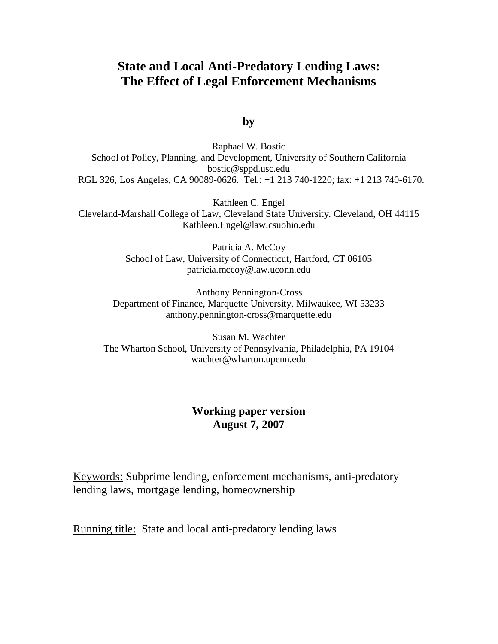# **State and Local Anti-Predatory Lending Laws: The Effect of Legal Enforcement Mechanisms**

**by**

Raphael W. Bostic School of Policy, Planning, and Development, University of Southern California bostic@sppd.usc.edu RGL 326, Los Angeles, CA 90089-0626. Tel.: +1 213 740-1220; fax: +1 213 740-6170.

Kathleen C. Engel Cleveland-Marshall College of Law, Cleveland State University. Cleveland, OH 44115 Kathleen.Engel@law.csuohio.edu

> Patricia A. McCoy School of Law, University of Connecticut, Hartford, CT 06105 patricia.mccoy@law.uconn.edu

Anthony Pennington-Cross Department of Finance, Marquette University, Milwaukee, WI 53233 anthony.pennington-cross@marquette.edu

Susan M. Wachter The Wharton School, University of Pennsylvania, Philadelphia, PA 19104 wachter@wharton.upenn.edu

# **Working paper version August 7, 2007**

Keywords: Subprime lending, enforcement mechanisms, anti-predatory lending laws, mortgage lending, homeownership

Running title: State and local anti-predatory lending laws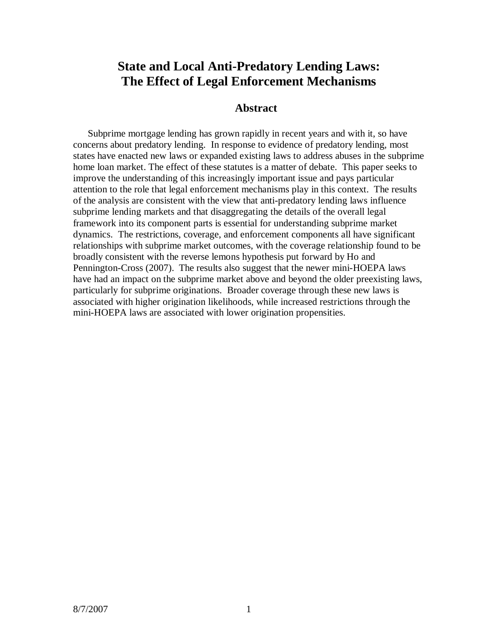# **State and Local Anti-Predatory Lending Laws: The Effect of Legal Enforcement Mechanisms**

# **Abstract**

Subprime mortgage lending has grown rapidly in recent years and with it, so have concerns about predatory lending. In response to evidence of predatory lending, most states have enacted new laws or expanded existing laws to address abuses in the subprime home loan market. The effect of these statutes is a matter of debate. This paper seeks to improve the understanding of this increasingly important issue and pays particular attention to the role that legal enforcement mechanisms play in this context. The results of the analysis are consistent with the view that anti-predatory lending laws influence subprime lending markets and that disaggregating the details of the overall legal framework into its component parts is essential for understanding subprime market dynamics. The restrictions, coverage, and enforcement components all have significant relationships with subprime market outcomes, with the coverage relationship found to be broadly consistent with the reverse lemons hypothesis put forward by Ho and Pennington-Cross (2007). The results also suggest that the newer mini-HOEPA laws have had an impact on the subprime market above and beyond the older preexisting laws, particularly for subprime originations. Broader coverage through these new laws is associated with higher origination likelihoods, while increased restrictions through the mini-HOEPA laws are associated with lower origination propensities.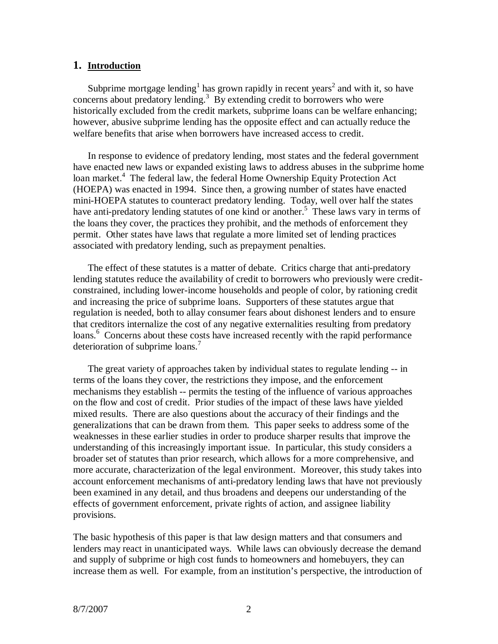#### **1. Introduction**

Subprime mortgage lending<sup>1</sup> has grown rapidly in recent years<sup>2</sup> and with it, so have concerns about predatory lending. <sup>3</sup> By extending credit to borrowers who were historically excluded from the credit markets, subprime loans can be welfare enhancing; however, abusive subprime lending has the opposite effect and can actually reduce the welfare benefits that arise when borrowers have increased access to credit.

In response to evidence of predatory lending, most states and the federal government have enacted new laws or expanded existing laws to address abuses in the subprime home loan market.<sup>4</sup> The federal law, the federal Home Ownership Equity Protection Act (HOEPA) was enacted in 1994. Since then, a growing number of states have enacted mini-HOEPA statutes to counteract predatory lending. Today, well over half the states have anti-predatory lending statutes of one kind or another.<sup>5</sup> These laws vary in terms of the loans they cover, the practices they prohibit, and the methods of enforcement they permit. Other states have laws that regulate a more limited set of lending practices associated with predatory lending, such as prepayment penalties.

The effect of these statutes is a matter of debate. Critics charge that anti-predatory lending statutes reduce the availability of credit to borrowers who previously were creditconstrained, including lower-income households and people of color, by rationing credit and increasing the price of subprime loans. Supporters of these statutes argue that regulation is needed, both to allay consumer fears about dishonest lenders and to ensure that creditors internalize the cost of any negative externalities resulting from predatory loans.<sup>6</sup> Concerns about these costs have increased recently with the rapid performance deterioration of subprime loans.<sup>7</sup>

The great variety of approaches taken by individual states to regulate lending -- in terms of the loans they cover, the restrictions they impose, and the enforcement mechanisms they establish -- permits the testing of the influence of various approaches on the flow and cost of credit. Prior studies of the impact of these laws have yielded mixed results. There are also questions about the accuracy of their findings and the generalizations that can be drawn from them. This paper seeks to address some of the weaknesses in these earlier studies in order to produce sharper results that improve the understanding of this increasingly important issue. In particular, this study considers a broader set of statutes than prior research, which allows for a more comprehensive, and more accurate, characterization of the legal environment. Moreover, this study takes into account enforcement mechanisms of anti-predatory lending laws that have not previously been examined in any detail, and thus broadens and deepens our understanding of the effects of government enforcement, private rights of action, and assignee liability provisions.

The basic hypothesis of this paper is that law design matters and that consumers and lenders may react in unanticipated ways. While laws can obviously decrease the demand and supply of subprime or high cost funds to homeowners and homebuyers, they can increase them as well. For example, from an institution's perspective, the introduction of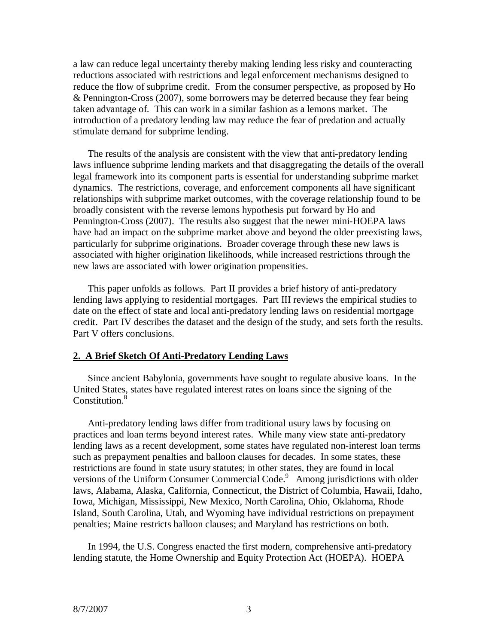a law can reduce legal uncertainty thereby making lending less risky and counteracting reductions associated with restrictions and legal enforcement mechanisms designed to reduce the flow of subprime credit. From the consumer perspective, as proposed by Ho & Pennington-Cross (2007), some borrowers may be deterred because they fear being taken advantage of. This can work in a similar fashion as a lemons market. The introduction of a predatory lending law may reduce the fear of predation and actually stimulate demand for subprime lending.

The results of the analysis are consistent with the view that anti-predatory lending laws influence subprime lending markets and that disaggregating the details of the overall legal framework into its component parts is essential for understanding subprime market dynamics. The restrictions, coverage, and enforcement components all have significant relationships with subprime market outcomes, with the coverage relationship found to be broadly consistent with the reverse lemons hypothesis put forward by Ho and Pennington-Cross (2007). The results also suggest that the newer mini-HOEPA laws have had an impact on the subprime market above and beyond the older preexisting laws, particularly for subprime originations. Broader coverage through these new laws is associated with higher origination likelihoods, while increased restrictions through the new laws are associated with lower origination propensities.

This paper unfolds as follows. Part II provides a brief history of anti-predatory lending laws applying to residential mortgages. Part III reviews the empirical studies to date on the effect of state and local anti-predatory lending laws on residential mortgage credit. Part IV describes the dataset and the design of the study, and sets forth the results. Part V offers conclusions.

#### **2. A Brief Sketch Of Anti-Predatory Lending Laws**

Since ancient Babylonia, governments have sought to regulate abusive loans. In the United States, states have regulated interest rates on loans since the signing of the Constitution.<sup>8</sup>

Anti-predatory lending laws differ from traditional usury laws by focusing on practices and loan terms beyond interest rates. While many view state anti-predatory lending laws as a recent development, some states have regulated non-interest loan terms such as prepayment penalties and balloon clauses for decades. In some states, these restrictions are found in state usury statutes; in other states, they are found in local versions of the Uniform Consumer Commercial Code.<sup>9</sup> Among jurisdictions with older laws, Alabama, Alaska, California, Connecticut, the District of Columbia, Hawaii, Idaho, Iowa, Michigan, Mississippi, New Mexico, North Carolina, Ohio, Oklahoma, Rhode Island, South Carolina, Utah, and Wyoming have individual restrictions on prepayment penalties; Maine restricts balloon clauses; and Maryland has restrictions on both.

In 1994, the U.S. Congress enacted the first modern, comprehensive anti-predatory lending statute, the Home Ownership and Equity Protection Act (HOEPA). HOEPA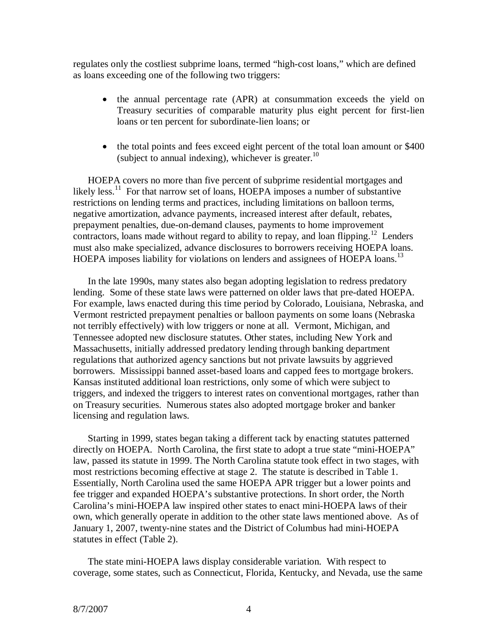regulates only the costliest subprime loans, termed "high-cost loans," which are defined as loans exceeding one of the following two triggers:

- the annual percentage rate (APR) at consummation exceeds the yield on Treasury securities of comparable maturity plus eight percent for first-lien loans or ten percent for subordinate-lien loans; or
- the total points and fees exceed eight percent of the total loan amount or \$400 (subject to annual indexing), whichever is greater.<sup>10</sup>

HOEPA covers no more than five percent of subprime residential mortgages and likely less.<sup>11</sup> For that narrow set of loans, HOEPA imposes a number of substantive restrictions on lending terms and practices, including limitations on balloon terms, negative amortization, advance payments, increased interest after default, rebates, prepayment penalties, due-on-demand clauses, payments to home improvement contractors, loans made without regard to ability to repay, and loan flipping.<sup>12</sup> Lenders must also make specialized, advance disclosures to borrowers receiving HOEPA loans. HOEPA imposes liability for violations on lenders and assignees of HOEPA loans.<sup>13</sup>

In the late 1990s, many states also began adopting legislation to redress predatory lending. Some of these state laws were patterned on older laws that pre-dated HOEPA. For example, laws enacted during this time period by Colorado, Louisiana, Nebraska, and Vermont restricted prepayment penalties or balloon payments on some loans (Nebraska not terribly effectively) with low triggers or none at all. Vermont, Michigan, and Tennessee adopted new disclosure statutes. Other states, including New York and Massachusetts, initially addressed predatory lending through banking department regulations that authorized agency sanctions but not private lawsuits by aggrieved borrowers. Mississippi banned asset-based loans and capped fees to mortgage brokers. Kansas instituted additional loan restrictions, only some of which were subject to triggers, and indexed the triggers to interest rates on conventional mortgages, rather than on Treasury securities. Numerous states also adopted mortgage broker and banker licensing and regulation laws.

Starting in 1999, states began taking a different tack by enacting statutes patterned directly on HOEPA. North Carolina, the first state to adopt a true state "mini-HOEPA" law, passed its statute in 1999. The North Carolina statute took effect in two stages, with most restrictions becoming effective at stage 2. The statute is described in Table 1. Essentially, North Carolina used the same HOEPA APR trigger but a lower points and fee trigger and expanded HOEPA's substantive protections. In short order, the North Carolina's mini-HOEPA law inspired other states to enact mini-HOEPA laws of their own, which generally operate in addition to the other state laws mentioned above. As of January 1, 2007, twenty-nine states and the District of Columbus had mini-HOEPA statutes in effect (Table 2).

The state mini-HOEPA laws display considerable variation. With respect to coverage, some states, such as Connecticut, Florida, Kentucky, and Nevada, use the same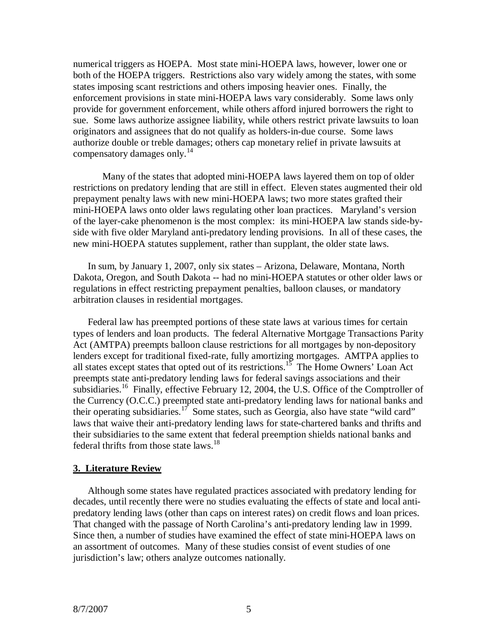numerical triggers as HOEPA. Most state mini-HOEPA laws, however, lower one or both of the HOEPA triggers. Restrictions also vary widely among the states, with some states imposing scant restrictions and others imposing heavier ones. Finally, the enforcement provisions in state mini-HOEPA laws vary considerably. Some laws only provide for government enforcement, while others afford injured borrowers the right to sue. Some laws authorize assignee liability, while others restrict private lawsuits to loan originators and assignees that do not qualify as holders-in-due course. Some laws authorize double or treble damages; others cap monetary relief in private lawsuits at compensatory damages only.<sup>14</sup>

Many of the states that adopted mini-HOEPA laws layered them on top of older restrictions on predatory lending that are still in effect. Eleven states augmented their old prepayment penalty laws with new mini-HOEPA laws; two more states grafted their mini-HOEPA laws onto older laws regulating other loan practices. Maryland's version of the layer-cake phenomenon is the most complex: its mini-HOEPA law stands side-byside with five older Maryland anti-predatory lending provisions. In all of these cases, the new mini-HOEPA statutes supplement, rather than supplant, the older state laws.

In sum, by January 1, 2007, only six states – Arizona, Delaware, Montana, North Dakota, Oregon, and South Dakota -- had no mini-HOEPA statutes or other older laws or regulations in effect restricting prepayment penalties, balloon clauses, or mandatory arbitration clauses in residential mortgages.

Federal law has preempted portions of these state laws at various times for certain types of lenders and loan products. The federal Alternative Mortgage Transactions Parity Act (AMTPA) preempts balloon clause restrictions for all mortgages by non-depository lenders except for traditional fixed-rate, fully amortizing mortgages. AMTPA applies to all states except states that opted out of its restrictions.<sup>15</sup> The Home Owners' Loan Act preempts state anti-predatory lending laws for federal savings associations and their subsidiaries.<sup>16</sup> Finally, effective February 12, 2004, the U.S. Office of the Comptroller of the Currency (O.C.C.) preempted state anti-predatory lending laws for national banks and their operating subsidiaries.<sup>17</sup> Some states, such as Georgia, also have state "wild card" laws that waive their anti-predatory lending laws for state-chartered banks and thrifts and their subsidiaries to the same extent that federal preemption shields national banks and federal thrifts from those state laws.<sup>18</sup>

#### **3. Literature Review**

Although some states have regulated practices associated with predatory lending for decades, until recently there were no studies evaluating the effects of state and local antipredatory lending laws (other than caps on interest rates) on credit flows and loan prices. That changed with the passage of North Carolina's anti-predatory lending law in 1999. Since then, a number of studies have examined the effect of state mini-HOEPA laws on an assortment of outcomes. Many of these studies consist of event studies of one jurisdiction's law; others analyze outcomes nationally.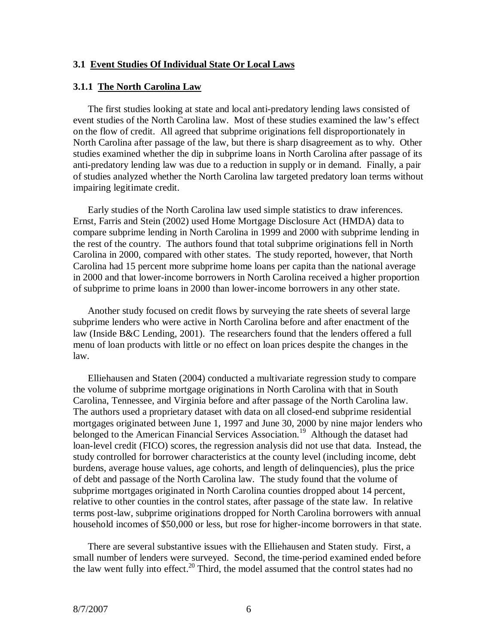#### **3.1 Event Studies Of Individual State Or Local Laws**

#### **3.1.1 The North Carolina Law**

The first studies looking at state and local anti-predatory lending laws consisted of event studies of the North Carolina law. Most of these studies examined the law's effect on the flow of credit. All agreed that subprime originations fell disproportionately in North Carolina after passage of the law, but there is sharp disagreement as to why. Other studies examined whether the dip in subprime loans in North Carolina after passage of its anti-predatory lending law was due to a reduction in supply or in demand. Finally, a pair of studies analyzed whether the North Carolina law targeted predatory loan terms without impairing legitimate credit.

Early studies of the North Carolina law used simple statistics to draw inferences. Ernst, Farris and Stein (2002) used Home Mortgage Disclosure Act (HMDA) data to compare subprime lending in North Carolina in 1999 and 2000 with subprime lending in the rest of the country. The authors found that total subprime originations fell in North Carolina in 2000, compared with other states. The study reported, however, that North Carolina had 15 percent more subprime home loans per capita than the national average in 2000 and that lower-income borrowers in North Carolina received a higher proportion of subprime to prime loans in 2000 than lower-income borrowers in any other state.

Another study focused on credit flows by surveying the rate sheets of several large subprime lenders who were active in North Carolina before and after enactment of the law (Inside B&C Lending, 2001). The researchers found that the lenders offered a full menu of loan products with little or no effect on loan prices despite the changes in the law.

Elliehausen and Staten (2004) conducted a multivariate regression study to compare the volume of subprime mortgage originations in North Carolina with that in South Carolina, Tennessee, and Virginia before and after passage of the North Carolina law. The authors used a proprietary dataset with data on all closed-end subprime residential mortgages originated between June 1, 1997 and June 30, 2000 by nine major lenders who belonged to the American Financial Services Association.<sup>19</sup> Although the dataset had loan-level credit (FICO) scores, the regression analysis did not use that data. Instead, the study controlled for borrower characteristics at the county level (including income, debt burdens, average house values, age cohorts, and length of delinquencies), plus the price of debt and passage of the North Carolina law. The study found that the volume of subprime mortgages originated in North Carolina counties dropped about 14 percent, relative to other counties in the control states, after passage of the state law. In relative terms post-law, subprime originations dropped for North Carolina borrowers with annual household incomes of \$50,000 or less, but rose for higher-income borrowers in that state.

There are several substantive issues with the Elliehausen and Staten study. First, a small number of lenders were surveyed. Second, the time-period examined ended before the law went fully into effect.<sup>20</sup> Third, the model assumed that the control states had no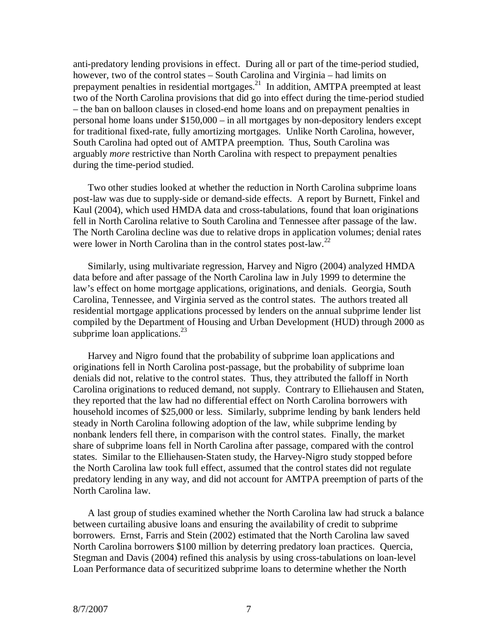anti-predatory lending provisions in effect. During all or part of the time-period studied, however, two of the control states – South Carolina and Virginia – had limits on prepayment penalties in residential mortgages.<sup>21</sup> In addition, AMTPA preempted at least two of the North Carolina provisions that did go into effect during the time-period studied – the ban on balloon clauses in closed-end home loans and on prepayment penalties in personal home loans under \$150,000 – in all mortgages by non-depository lenders except for traditional fixed-rate, fully amortizing mortgages. Unlike North Carolina, however, South Carolina had opted out of AMTPA preemption. Thus, South Carolina was arguably *more* restrictive than North Carolina with respect to prepayment penalties during the time-period studied.

Two other studies looked at whether the reduction in North Carolina subprime loans post-law was due to supply-side or demand-side effects. A report by Burnett, Finkel and Kaul (2004), which used HMDA data and cross-tabulations, found that loan originations fell in North Carolina relative to South Carolina and Tennessee after passage of the law. The North Carolina decline was due to relative drops in application volumes; denial rates were lower in North Carolina than in the control states post-law.<sup>22</sup>

Similarly, using multivariate regression, Harvey and Nigro (2004) analyzed HMDA data before and after passage of the North Carolina law in July 1999 to determine the law's effect on home mortgage applications, originations, and denials. Georgia, South Carolina, Tennessee, and Virginia served as the control states. The authors treated all residential mortgage applications processed by lenders on the annual subprime lender list compiled by the Department of Housing and Urban Development (HUD) through 2000 as subprime loan applications.<sup>23</sup>

Harvey and Nigro found that the probability of subprime loan applications and originations fell in North Carolina post-passage, but the probability of subprime loan denials did not, relative to the control states. Thus, they attributed the falloff in North Carolina originations to reduced demand, not supply. Contrary to Elliehausen and Staten, they reported that the law had no differential effect on North Carolina borrowers with household incomes of \$25,000 or less. Similarly, subprime lending by bank lenders held steady in North Carolina following adoption of the law, while subprime lending by nonbank lenders fell there, in comparison with the control states. Finally, the market share of subprime loans fell in North Carolina after passage, compared with the control states. Similar to the Elliehausen-Staten study, the Harvey-Nigro study stopped before the North Carolina law took full effect, assumed that the control states did not regulate predatory lending in any way, and did not account for AMTPA preemption of parts of the North Carolina law.

A last group of studies examined whether the North Carolina law had struck a balance between curtailing abusive loans and ensuring the availability of credit to subprime borrowers. Ernst, Farris and Stein (2002) estimated that the North Carolina law saved North Carolina borrowers \$100 million by deterring predatory loan practices. Quercia, Stegman and Davis (2004) refined this analysis by using cross-tabulations on loan-level Loan Performance data of securitized subprime loans to determine whether the North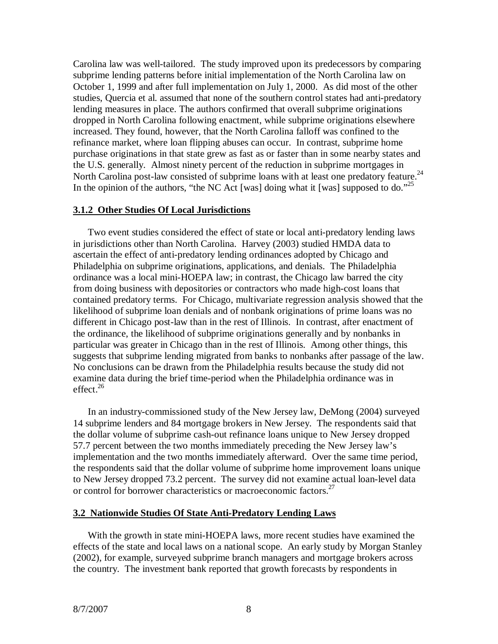Carolina law was well-tailored. The study improved upon its predecessors by comparing subprime lending patterns before initial implementation of the North Carolina law on October 1, 1999 and after full implementation on July 1, 2000. As did most of the other studies, Quercia et al. assumed that none of the southern control states had anti-predatory lending measures in place. The authors confirmed that overall subprime originations dropped in North Carolina following enactment, while subprime originations elsewhere increased. They found, however, that the North Carolina falloff was confined to the refinance market, where loan flipping abuses can occur. In contrast, subprime home purchase originations in that state grew as fast as or faster than in some nearby states and the U.S. generally. Almost ninety percent of the reduction in subprime mortgages in North Carolina post-law consisted of subprime loans with at least one predatory feature.<sup>24</sup> In the opinion of the authors, "the NC Act [was] doing what it [was] supposed to do."<sup>25</sup>

#### **3.1.2 Other Studies Of Local Jurisdictions**

Two event studies considered the effect of state or local anti-predatory lending laws in jurisdictions other than North Carolina. Harvey (2003) studied HMDA data to ascertain the effect of anti-predatory lending ordinances adopted by Chicago and Philadelphia on subprime originations, applications, and denials. The Philadelphia ordinance was a local mini-HOEPA law; in contrast, the Chicago law barred the city from doing business with depositories or contractors who made high-cost loans that contained predatory terms. For Chicago, multivariate regression analysis showed that the likelihood of subprime loan denials and of nonbank originations of prime loans was no different in Chicago post-law than in the rest of Illinois. In contrast, after enactment of the ordinance, the likelihood of subprime originations generally and by nonbanks in particular was greater in Chicago than in the rest of Illinois. Among other things, this suggests that subprime lending migrated from banks to nonbanks after passage of the law. No conclusions can be drawn from the Philadelphia results because the study did not examine data during the brief time-period when the Philadelphia ordinance was in effect. 26

In an industry-commissioned study of the New Jersey law, DeMong (2004) surveyed 14 subprime lenders and 84 mortgage brokers in New Jersey. The respondents said that the dollar volume of subprime cash-out refinance loans unique to New Jersey dropped 57.7 percent between the two months immediately preceding the New Jersey law's implementation and the two months immediately afterward. Over the same time period, the respondents said that the dollar volume of subprime home improvement loans unique to New Jersey dropped 73.2 percent. The survey did not examine actual loan-level data or control for borrower characteristics or macroeconomic factors.<sup>27</sup>

#### **3.2 Nationwide Studies Of State Anti-Predatory Lending Laws**

With the growth in state mini-HOEPA laws, more recent studies have examined the effects of the state and local laws on a national scope. An early study by Morgan Stanley (2002), for example, surveyed subprime branch managers and mortgage brokers across the country. The investment bank reported that growth forecasts by respondents in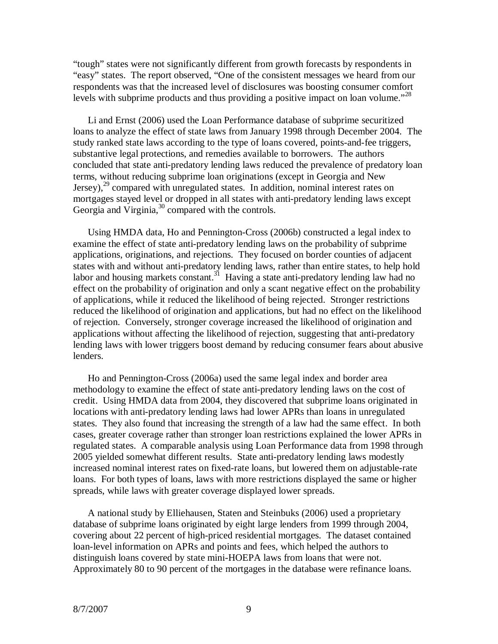"tough" states were not significantly different from growth forecasts by respondents in "easy" states. The report observed, "One of the consistent messages we heard from our respondents was that the increased level of disclosures was boosting consumer comfort levels with subprime products and thus providing a positive impact on loan volume."<sup>28</sup>

Li and Ernst (2006) used the Loan Performance database of subprime securitized loans to analyze the effect of state laws from January 1998 through December 2004. The study ranked state laws according to the type of loans covered, points-and-fee triggers, substantive legal protections, and remedies available to borrowers. The authors concluded that state anti-predatory lending laws reduced the prevalence of predatory loan terms, without reducing subprime loan originations (except in Georgia and New Jersey), 29 compared with unregulated states. In addition, nominal interest rates on mortgages stayed level or dropped in all states with anti-predatory lending laws except Georgia and Virginia,<sup>30</sup> compared with the controls.

Using HMDA data, Ho and Pennington-Cross (2006b) constructed a legal index to examine the effect of state anti-predatory lending laws on the probability of subprime applications, originations, and rejections. They focused on border counties of adjacent states with and without anti-predatory lending laws, rather than entire states, to help hold labor and housing markets constant.<sup>31</sup> Having a state anti-predatory lending law had no effect on the probability of origination and only a scant negative effect on the probability of applications, while it reduced the likelihood of being rejected. Stronger restrictions reduced the likelihood of origination and applications, but had no effect on the likelihood of rejection. Conversely, stronger coverage increased the likelihood of origination and applications without affecting the likelihood of rejection, suggesting that anti-predatory lending laws with lower triggers boost demand by reducing consumer fears about abusive lenders.

Ho and Pennington-Cross (2006a) used the same legal index and border area methodology to examine the effect of state anti-predatory lending laws on the cost of credit. Using HMDA data from 2004, they discovered that subprime loans originated in locations with anti-predatory lending laws had lower APRs than loans in unregulated states. They also found that increasing the strength of a law had the same effect. In both cases, greater coverage rather than stronger loan restrictions explained the lower APRs in regulated states. A comparable analysis using Loan Performance data from 1998 through 2005 yielded somewhat different results. State anti-predatory lending laws modestly increased nominal interest rates on fixed-rate loans, but lowered them on adjustable-rate loans. For both types of loans, laws with more restrictions displayed the same or higher spreads, while laws with greater coverage displayed lower spreads.

A national study by Elliehausen, Staten and Steinbuks (2006) used a proprietary database of subprime loans originated by eight large lenders from 1999 through 2004, covering about 22 percent of high-priced residential mortgages. The dataset contained loan-level information on APRs and points and fees, which helped the authors to distinguish loans covered by state mini-HOEPA laws from loans that were not. Approximately 80 to 90 percent of the mortgages in the database were refinance loans.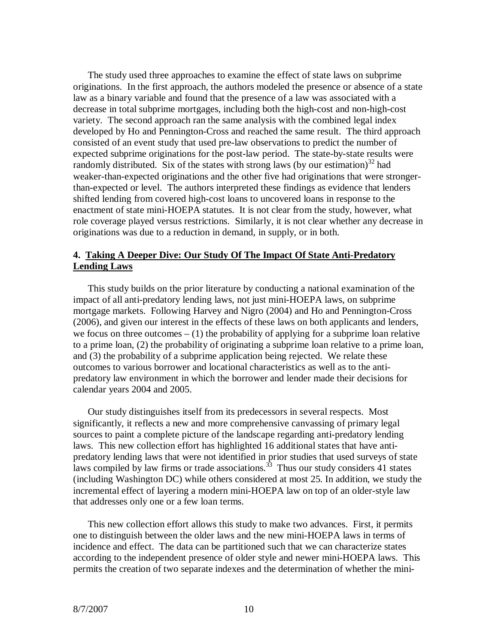The study used three approaches to examine the effect of state laws on subprime originations. In the first approach, the authors modeled the presence or absence of a state law as a binary variable and found that the presence of a law was associated with a decrease in total subprime mortgages, including both the high-cost and non-high-cost variety. The second approach ran the same analysis with the combined legal index developed by Ho and Pennington-Cross and reached the same result. The third approach consisted of an event study that used pre-law observations to predict the number of expected subprime originations for the post-law period. The state-by-state results were randomly distributed. Six of the states with strong laws (by our estimation)<sup>32</sup> had weaker-than-expected originations and the other five had originations that were strongerthan-expected or level. The authors interpreted these findings as evidence that lenders shifted lending from covered high-cost loans to uncovered loans in response to the enactment of state mini-HOEPA statutes. It is not clear from the study, however, what role coverage played versus restrictions. Similarly, it is not clear whether any decrease in originations was due to a reduction in demand, in supply, or in both.

## **4. Taking A Deeper Dive: Our Study Of The Impact Of State Anti-Predatory Lending Laws**

This study builds on the prior literature by conducting a national examination of the impact of all anti-predatory lending laws, not just mini-HOEPA laws, on subprime mortgage markets. Following Harvey and Nigro (2004) and Ho and Pennington-Cross (2006), and given our interest in the effects of these laws on both applicants and lenders, we focus on three outcomes  $- (1)$  the probability of applying for a subprime loan relative to a prime loan, (2) the probability of originating a subprime loan relative to a prime loan, and (3) the probability of a subprime application being rejected. We relate these outcomes to various borrower and locational characteristics as well as to the antipredatory law environment in which the borrower and lender made their decisions for calendar years 2004 and 2005.

Our study distinguishes itself from its predecessors in several respects. Most significantly, it reflects a new and more comprehensive canvassing of primary legal sources to paint a complete picture of the landscape regarding anti-predatory lending laws. This new collection effort has highlighted 16 additional states that have antipredatory lending laws that were not identified in prior studies that used surveys of state laws compiled by law firms or trade associations.<sup>33</sup> Thus our study considers 41 states (including Washington DC) while others considered at most 25. In addition, we study the incremental effect of layering a modern mini-HOEPA law on top of an older-style law that addresses only one or a few loan terms.

This new collection effort allows this study to make two advances. First, it permits one to distinguish between the older laws and the new mini-HOEPA laws in terms of incidence and effect. The data can be partitioned such that we can characterize states according to the independent presence of older style and newer mini-HOEPA laws. This permits the creation of two separate indexes and the determination of whether the mini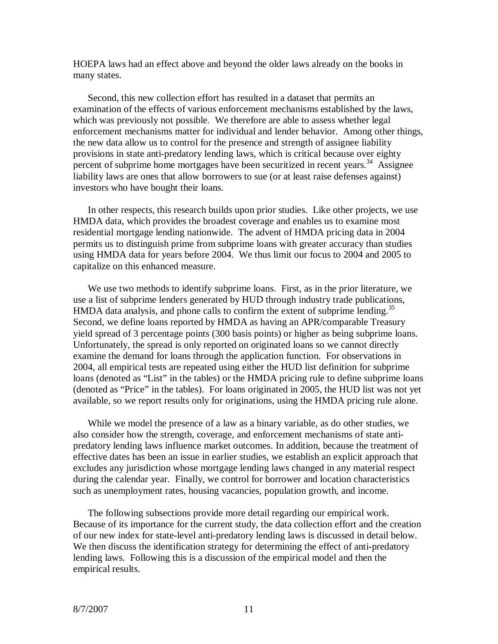HOEPA laws had an effect above and beyond the older laws already on the books in many states.

Second, this new collection effort has resulted in a dataset that permits an examination of the effects of various enforcement mechanisms established by the laws, which was previously not possible. We therefore are able to assess whether legal enforcement mechanisms matter for individual and lender behavior. Among other things, the new data allow us to control for the presence and strength of assignee liability provisions in state anti-predatory lending laws, which is critical because over eighty percent of subprime home mortgages have been securitized in recent years.<sup>34</sup> Assignee liability laws are ones that allow borrowers to sue (or at least raise defenses against) investors who have bought their loans.

In other respects, this research builds upon prior studies. Like other projects, we use HMDA data, which provides the broadest coverage and enables us to examine most residential mortgage lending nationwide. The advent of HMDA pricing data in 2004 permits us to distinguish prime from subprime loans with greater accuracy than studies using HMDA data for years before 2004. We thus limit our focus to 2004 and 2005 to capitalize on this enhanced measure.

We use two methods to identify subprime loans. First, as in the prior literature, we use a list of subprime lenders generated by HUD through industry trade publications, HMDA data analysis, and phone calls to confirm the extent of subprime lending.<sup>35</sup> Second, we define loans reported by HMDA as having an APR/comparable Treasury yield spread of 3 percentage points (300 basis points) or higher as being subprime loans. Unfortunately, the spread is only reported on originated loans so we cannot directly examine the demand for loans through the application function. For observations in 2004, all empirical tests are repeated using either the HUD list definition for subprime loans (denoted as "List" in the tables) or the HMDA pricing rule to define subprime loans (denoted as "Price" in the tables). For loans originated in 2005, the HUD list was not yet available, so we report results only for originations, using the HMDA pricing rule alone.

While we model the presence of a law as a binary variable, as do other studies, we also consider how the strength, coverage, and enforcement mechanisms of state antipredatory lending laws influence market outcomes. In addition, because the treatment of effective dates has been an issue in earlier studies, we establish an explicit approach that excludes any jurisdiction whose mortgage lending laws changed in any material respect during the calendar year. Finally, we control for borrower and location characteristics such as unemployment rates, housing vacancies, population growth, and income.

The following subsections provide more detail regarding our empirical work. Because of its importance for the current study, the data collection effort and the creation of our new index for state-level anti-predatory lending laws is discussed in detail below. We then discuss the identification strategy for determining the effect of anti-predatory lending laws. Following this is a discussion of the empirical model and then the empirical results.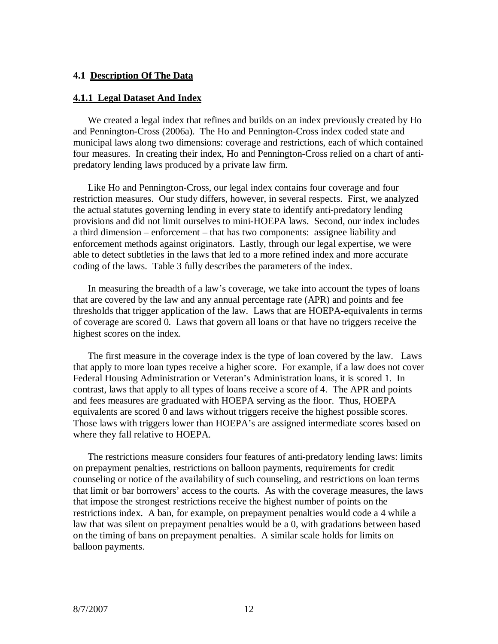#### **4.1 Description Of The Data**

#### **4.1.1 Legal Dataset And Index**

We created a legal index that refines and builds on an index previously created by Ho and Pennington-Cross (2006a). The Ho and Pennington-Cross index coded state and municipal laws along two dimensions: coverage and restrictions, each of which contained four measures. In creating their index, Ho and Pennington-Cross relied on a chart of antipredatory lending laws produced by a private law firm.

Like Ho and Pennington-Cross, our legal index contains four coverage and four restriction measures. Our study differs, however, in several respects. First, we analyzed the actual statutes governing lending in every state to identify anti-predatory lending provisions and did not limit ourselves to mini-HOEPA laws. Second, our index includes a third dimension – enforcement – that has two components: assignee liability and enforcement methods against originators. Lastly, through our legal expertise, we were able to detect subtleties in the laws that led to a more refined index and more accurate coding of the laws. Table 3 fully describes the parameters of the index.

In measuring the breadth of a law's coverage, we take into account the types of loans that are covered by the law and any annual percentage rate (APR) and points and fee thresholds that trigger application of the law. Laws that are HOEPA-equivalents in terms of coverage are scored 0. Laws that govern all loans or that have no triggers receive the highest scores on the index.

The first measure in the coverage index is the type of loan covered by the law. Laws that apply to more loan types receive a higher score. For example, if a law does not cover Federal Housing Administration or Veteran's Administration loans, it is scored 1. In contrast, laws that apply to all types of loans receive a score of 4. The APR and points and fees measures are graduated with HOEPA serving as the floor. Thus, HOEPA equivalents are scored 0 and laws without triggers receive the highest possible scores. Those laws with triggers lower than HOEPA's are assigned intermediate scores based on where they fall relative to HOEPA.

The restrictions measure considers four features of anti-predatory lending laws: limits on prepayment penalties, restrictions on balloon payments, requirements for credit counseling or notice of the availability of such counseling, and restrictions on loan terms that limit or bar borrowers' access to the courts. As with the coverage measures, the laws that impose the strongest restrictions receive the highest number of points on the restrictions index. A ban, for example, on prepayment penalties would code a 4 while a law that was silent on prepayment penalties would be a 0, with gradations between based on the timing of bans on prepayment penalties. A similar scale holds for limits on balloon payments.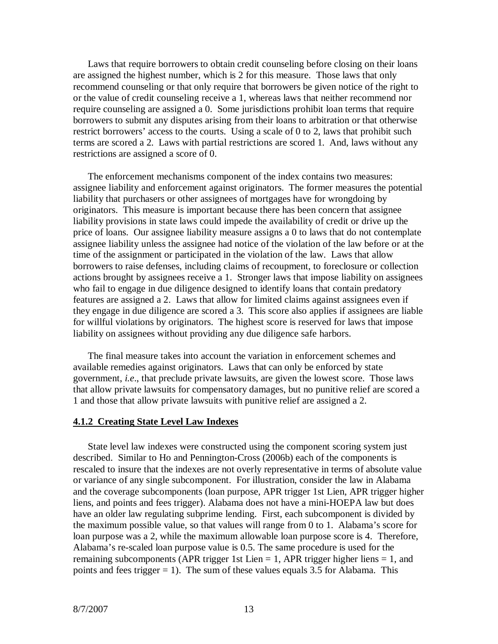Laws that require borrowers to obtain credit counseling before closing on their loans are assigned the highest number, which is 2 for this measure. Those laws that only recommend counseling or that only require that borrowers be given notice of the right to or the value of credit counseling receive a 1, whereas laws that neither recommend nor require counseling are assigned a 0. Some jurisdictions prohibit loan terms that require borrowers to submit any disputes arising from their loans to arbitration or that otherwise restrict borrowers' access to the courts. Using a scale of 0 to 2, laws that prohibit such terms are scored a 2. Laws with partial restrictions are scored 1. And, laws without any restrictions are assigned a score of 0.

The enforcement mechanisms component of the index contains two measures: assignee liability and enforcement against originators. The former measures the potential liability that purchasers or other assignees of mortgages have for wrongdoing by originators. This measure is important because there has been concern that assignee liability provisions in state laws could impede the availability of credit or drive up the price of loans. Our assignee liability measure assigns a 0 to laws that do not contemplate assignee liability unless the assignee had notice of the violation of the law before or at the time of the assignment or participated in the violation of the law. Laws that allow borrowers to raise defenses, including claims of recoupment, to foreclosure or collection actions brought by assignees receive a 1. Stronger laws that impose liability on assignees who fail to engage in due diligence designed to identify loans that contain predatory features are assigned a 2. Laws that allow for limited claims against assignees even if they engage in due diligence are scored a 3. This score also applies if assignees are liable for willful violations by originators. The highest score is reserved for laws that impose liability on assignees without providing any due diligence safe harbors.

The final measure takes into account the variation in enforcement schemes and available remedies against originators. Laws that can only be enforced by state government, *i.e*., that preclude private lawsuits, are given the lowest score. Those laws that allow private lawsuits for compensatory damages, but no punitive relief are scored a 1 and those that allow private lawsuits with punitive relief are assigned a 2.

#### **4.1.2 Creating State Level Law Indexes**

State level law indexes were constructed using the component scoring system just described. Similar to Ho and Pennington-Cross (2006b) each of the components is rescaled to insure that the indexes are not overly representative in terms of absolute value or variance of any single subcomponent. For illustration, consider the law in Alabama and the coverage subcomponents (loan purpose, APR trigger 1st Lien, APR trigger higher liens, and points and fees trigger). Alabama does not have a mini-HOEPA law but does have an older law regulating subprime lending. First, each subcomponent is divided by the maximum possible value, so that values will range from 0 to 1. Alabama's score for loan purpose was a 2, while the maximum allowable loan purpose score is 4. Therefore, Alabama's re-scaled loan purpose value is 0.5. The same procedure is used for the remaining subcomponents (APR trigger 1st Lien  $= 1$ , APR trigger higher liens  $= 1$ , and points and fees trigger  $= 1$ ). The sum of these values equals 3.5 for Alabama. This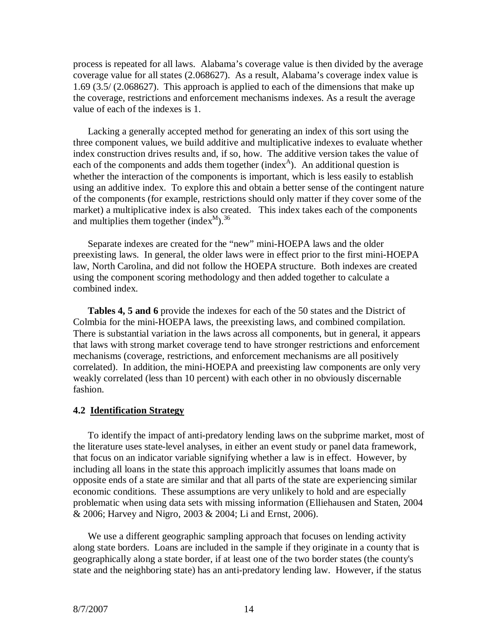process is repeated for all laws. Alabama's coverage value is then divided by the average coverage value for all states (2.068627). As a result, Alabama's coverage index value is 1.69 (3.5/ (2.068627). This approach is applied to each of the dimensions that make up the coverage, restrictions and enforcement mechanisms indexes. As a result the average value of each of the indexes is 1.

Lacking a generally accepted method for generating an index of this sort using the three component values, we build additive and multiplicative indexes to evaluate whether index construction drives results and, if so, how. The additive version takes the value of each of the components and adds them together (index<sup>A</sup>). An additional question is whether the interaction of the components is important, which is less easily to establish using an additive index. To explore this and obtain a better sense of the contingent nature of the components (for example, restrictions should only matter if they cover some of the market) a multiplicative index is also created. This index takes each of the components and multiplies them together (index<sup>M</sup>).<sup>36</sup>

Separate indexes are created for the "new" mini-HOEPA laws and the older preexisting laws. In general, the older laws were in effect prior to the first mini-HOEPA law, North Carolina, and did not follow the HOEPA structure. Both indexes are created using the component scoring methodology and then added together to calculate a combined index.

**Tables 4, 5 and 6** provide the indexes for each of the 50 states and the District of Colmbia for the mini-HOEPA laws, the preexisting laws, and combined compilation. There is substantial variation in the laws across all components, but in general, it appears that laws with strong market coverage tend to have stronger restrictions and enforcement mechanisms (coverage, restrictions, and enforcement mechanisms are all positively correlated). In addition, the mini-HOEPA and preexisting law components are only very weakly correlated (less than 10 percent) with each other in no obviously discernable fashion.

#### **4.2 Identification Strategy**

To identify the impact of anti-predatory lending laws on the subprime market, most of the literature uses state-level analyses, in either an event study or panel data framework, that focus on an indicator variable signifying whether a law is in effect. However, by including all loans in the state this approach implicitly assumes that loans made on opposite ends of a state are similar and that all parts of the state are experiencing similar economic conditions. These assumptions are very unlikely to hold and are especially problematic when using data sets with missing information (Elliehausen and Staten, 2004 & 2006; Harvey and Nigro, 2003 & 2004; Li and Ernst, 2006).

We use a different geographic sampling approach that focuses on lending activity along state borders. Loans are included in the sample if they originate in a county that is geographically along a state border, if at least one of the two border states (the county's state and the neighboring state) has an anti-predatory lending law. However, if the status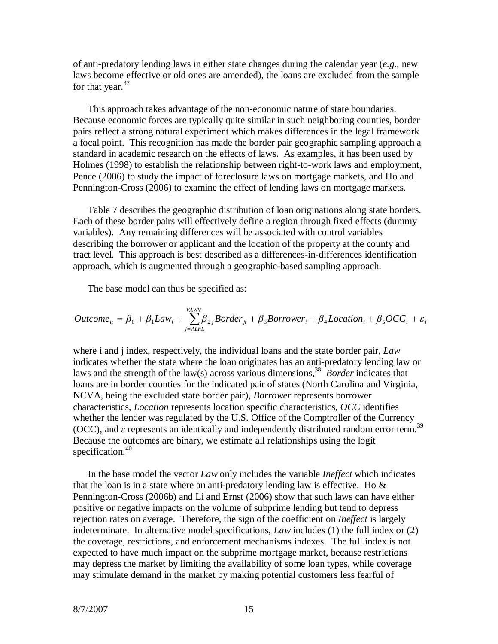of anti-predatory lending laws in either state changes during the calendar year (*e.g*., new laws become effective or old ones are amended), the loans are excluded from the sample for that year.<sup>37</sup>

This approach takes advantage of the non-economic nature of state boundaries. Because economic forces are typically quite similar in such neighboring counties, border pairs reflect a strong natural experiment which makes differences in the legal framework a focal point. This recognition has made the border pair geographic sampling approach a standard in academic research on the effects of laws. As examples, it has been used by Holmes (1998) to establish the relationship between right-to-work laws and employment, Pence (2006) to study the impact of foreclosure laws on mortgage markets, and Ho and Pennington-Cross (2006) to examine the effect of lending laws on mortgage markets.

Table 7 describes the geographic distribution of loan originations along state borders. Each of these border pairs will effectively define a region through fixed effects (dummy variables). Any remaining differences will be associated with control variables describing the borrower or applicant and the location of the property at the county and tract level. This approach is best described as a differences-in-differences identification approach, which is augmented through a geographic-based sampling approach.

The base model can thus be specified as:

$$
Outcome_{it} = \beta_0 + \beta_1 Law_i + \sum_{j=ALFL}^{VAWV} \beta_{2j}Border_{ji} + \beta_3 Borrower_i + \beta_4 Location_i + \beta_5 OCC_i + \varepsilon_i
$$

where i and j index, respectively, the individual loans and the state border pair, *Law* indicates whether the state where the loan originates has an anti-predatory lending law or laws and the strength of the law(s) across various dimensions, 38 *Border* indicates that loans are in border counties for the indicated pair of states (North Carolina and Virginia, NCVA, being the excluded state border pair), *Borrower* represents borrower characteristics, *Location* represents location specific characteristics, *OCC* identifies whether the lender was regulated by the U.S. Office of the Comptroller of the Currency (OCC), and  $\varepsilon$  represents an identically and independently distributed random error term.<sup>39</sup> Because the outcomes are binary, we estimate all relationships using the logit specification. 40

In the base model the vector *Law* only includes the variable *Ineffect* which indicates that the loan is in a state where an anti-predatory lending law is effective. Ho  $\&$ Pennington-Cross (2006b) and Li and Ernst (2006) show that such laws can have either positive or negative impacts on the volume of subprime lending but tend to depress rejection rates on average. Therefore, the sign of the coefficient on *Ineffect* is largely indeterminate. In alternative model specifications, *Law* includes (1) the full index or (2) the coverage, restrictions, and enforcement mechanisms indexes. The full index is not expected to have much impact on the subprime mortgage market, because restrictions may depress the market by limiting the availability of some loan types, while coverage may stimulate demand in the market by making potential customers less fearful of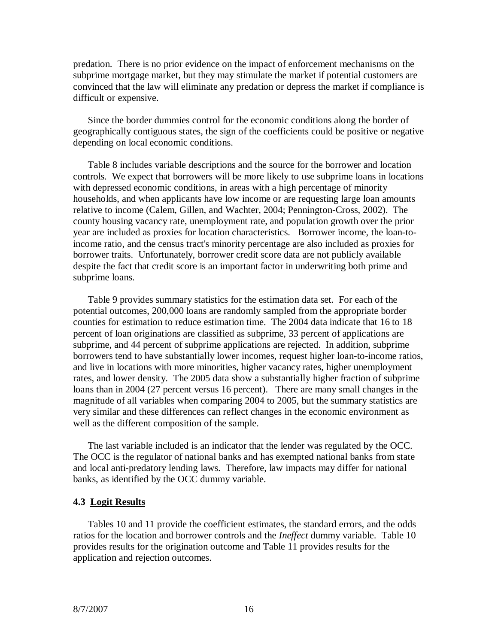predation. There is no prior evidence on the impact of enforcement mechanisms on the subprime mortgage market, but they may stimulate the market if potential customers are convinced that the law will eliminate any predation or depress the market if compliance is difficult or expensive.

Since the border dummies control for the economic conditions along the border of geographically contiguous states, the sign of the coefficients could be positive or negative depending on local economic conditions.

Table 8 includes variable descriptions and the source for the borrower and location controls. We expect that borrowers will be more likely to use subprime loans in locations with depressed economic conditions, in areas with a high percentage of minority households, and when applicants have low income or are requesting large loan amounts relative to income (Calem, Gillen, and Wachter, 2004; Pennington-Cross, 2002). The county housing vacancy rate, unemployment rate, and population growth over the prior year are included as proxies for location characteristics. Borrower income, the loan-toincome ratio, and the census tract's minority percentage are also included as proxies for borrower traits. Unfortunately, borrower credit score data are not publicly available despite the fact that credit score is an important factor in underwriting both prime and subprime loans.

Table 9 provides summary statistics for the estimation data set. For each of the potential outcomes, 200,000 loans are randomly sampled from the appropriate border counties for estimation to reduce estimation time. The 2004 data indicate that 16 to 18 percent of loan originations are classified as subprime, 33 percent of applications are subprime, and 44 percent of subprime applications are rejected. In addition, subprime borrowers tend to have substantially lower incomes, request higher loan-to-income ratios, and live in locations with more minorities, higher vacancy rates, higher unemployment rates, and lower density. The 2005 data show a substantially higher fraction of subprime loans than in 2004 (27 percent versus 16 percent). There are many small changes in the magnitude of all variables when comparing 2004 to 2005, but the summary statistics are very similar and these differences can reflect changes in the economic environment as well as the different composition of the sample.

The last variable included is an indicator that the lender was regulated by the OCC. The OCC is the regulator of national banks and has exempted national banks from state and local anti-predatory lending laws. Therefore, law impacts may differ for national banks, as identified by the OCC dummy variable.

#### **4.3 Logit Results**

Tables 10 and 11 provide the coefficient estimates, the standard errors, and the odds ratios for the location and borrower controls and the *Ineffect* dummy variable. Table 10 provides results for the origination outcome and Table 11 provides results for the application and rejection outcomes.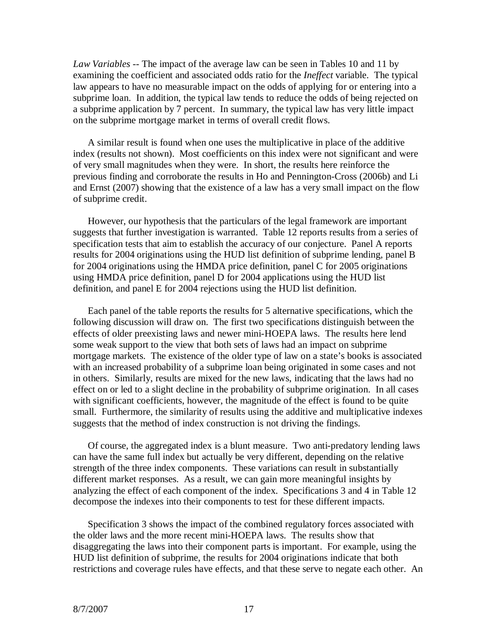*Law Variables* -- The impact of the average law can be seen in Tables 10 and 11 by examining the coefficient and associated odds ratio for the *Ineffect* variable. The typical law appears to have no measurable impact on the odds of applying for or entering into a subprime loan. In addition, the typical law tends to reduce the odds of being rejected on a subprime application by 7 percent. In summary, the typical law has very little impact on the subprime mortgage market in terms of overall credit flows.

A similar result is found when one uses the multiplicative in place of the additive index (results not shown). Most coefficients on this index were not significant and were of very small magnitudes when they were. In short, the results here reinforce the previous finding and corroborate the results in Ho and Pennington-Cross (2006b) and Li and Ernst (2007) showing that the existence of a law has a very small impact on the flow of subprime credit.

However, our hypothesis that the particulars of the legal framework are important suggests that further investigation is warranted. Table 12 reports results from a series of specification tests that aim to establish the accuracy of our conjecture. Panel A reports results for 2004 originations using the HUD list definition of subprime lending, panel B for 2004 originations using the HMDA price definition, panel C for 2005 originations using HMDA price definition, panel D for 2004 applications using the HUD list definition, and panel E for 2004 rejections using the HUD list definition.

Each panel of the table reports the results for 5 alternative specifications, which the following discussion will draw on. The first two specifications distinguish between the effects of older preexisting laws and newer mini-HOEPA laws. The results here lend some weak support to the view that both sets of laws had an impact on subprime mortgage markets. The existence of the older type of law on a state's books is associated with an increased probability of a subprime loan being originated in some cases and not in others. Similarly, results are mixed for the new laws, indicating that the laws had no effect on or led to a slight decline in the probability of subprime origination. In all cases with significant coefficients, however, the magnitude of the effect is found to be quite small. Furthermore, the similarity of results using the additive and multiplicative indexes suggests that the method of index construction is not driving the findings.

Of course, the aggregated index is a blunt measure. Two anti-predatory lending laws can have the same full index but actually be very different, depending on the relative strength of the three index components. These variations can result in substantially different market responses. As a result, we can gain more meaningful insights by analyzing the effect of each component of the index. Specifications 3 and 4 in Table 12 decompose the indexes into their components to test for these different impacts.

Specification 3 shows the impact of the combined regulatory forces associated with the older laws and the more recent mini-HOEPA laws. The results show that disaggregating the laws into their component parts is important. For example, using the HUD list definition of subprime, the results for 2004 originations indicate that both restrictions and coverage rules have effects, and that these serve to negate each other. An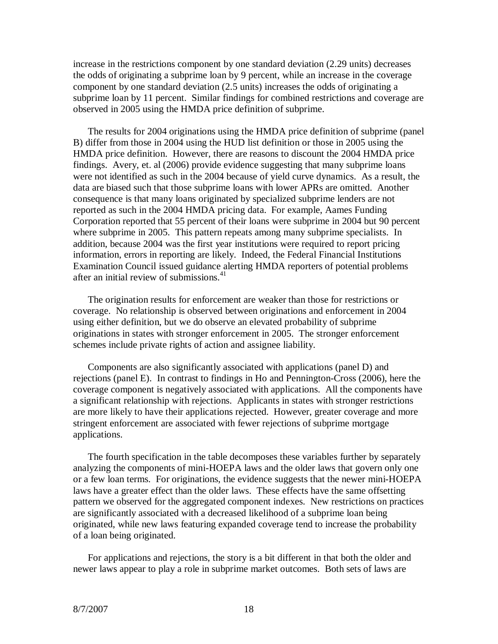increase in the restrictions component by one standard deviation (2.29 units) decreases the odds of originating a subprime loan by 9 percent, while an increase in the coverage component by one standard deviation (2.5 units) increases the odds of originating a subprime loan by 11 percent. Similar findings for combined restrictions and coverage are observed in 2005 using the HMDA price definition of subprime.

The results for 2004 originations using the HMDA price definition of subprime (panel B) differ from those in 2004 using the HUD list definition or those in 2005 using the HMDA price definition. However, there are reasons to discount the 2004 HMDA price findings. Avery, et. al (2006) provide evidence suggesting that many subprime loans were not identified as such in the 2004 because of yield curve dynamics. As a result, the data are biased such that those subprime loans with lower APRs are omitted. Another consequence is that many loans originated by specialized subprime lenders are not reported as such in the 2004 HMDA pricing data. For example, Aames Funding Corporation reported that 55 percent of their loans were subprime in 2004 but 90 percent where subprime in 2005. This pattern repeats among many subprime specialists. In addition, because 2004 was the first year institutions were required to report pricing information, errors in reporting are likely. Indeed, the Federal Financial Institutions Examination Council issued guidance alerting HMDA reporters of potential problems after an initial review of submissions. 41

The origination results for enforcement are weaker than those for restrictions or coverage. No relationship is observed between originations and enforcement in 2004 using either definition, but we do observe an elevated probability of subprime originations in states with stronger enforcement in 2005. The stronger enforcement schemes include private rights of action and assignee liability.

Components are also significantly associated with applications (panel D) and rejections (panel E). In contrast to findings in Ho and Pennington-Cross (2006), here the coverage component is negatively associated with applications. All the components have a significant relationship with rejections. Applicants in states with stronger restrictions are more likely to have their applications rejected. However, greater coverage and more stringent enforcement are associated with fewer rejections of subprime mortgage applications.

The fourth specification in the table decomposes these variables further by separately analyzing the components of mini-HOEPA laws and the older laws that govern only one or a few loan terms. For originations, the evidence suggests that the newer mini-HOEPA laws have a greater effect than the older laws. These effects have the same offsetting pattern we observed for the aggregated component indexes. New restrictions on practices are significantly associated with a decreased likelihood of a subprime loan being originated, while new laws featuring expanded coverage tend to increase the probability of a loan being originated.

For applications and rejections, the story is a bit different in that both the older and newer laws appear to play a role in subprime market outcomes. Both sets of laws are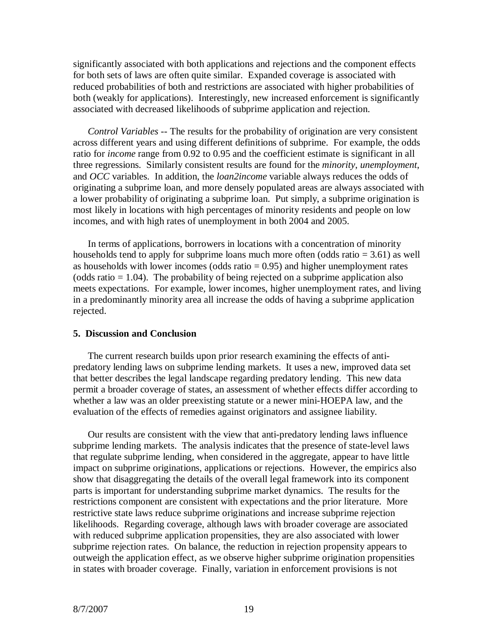significantly associated with both applications and rejections and the component effects for both sets of laws are often quite similar. Expanded coverage is associated with reduced probabilities of both and restrictions are associated with higher probabilities of both (weakly for applications). Interestingly, new increased enforcement is significantly associated with decreased likelihoods of subprime application and rejection.

*Control Variables --* The results for the probability of origination are very consistent across different years and using different definitions of subprime. For example, the odds ratio for *income* range from 0.92 to 0.95 and the coefficient estimate is significant in all three regressions. Similarly consistent results are found for the *minority*, *unemployment*, and *OCC* variables. In addition, the *loan2income* variable always reduces the odds of originating a subprime loan, and more densely populated areas are always associated with a lower probability of originating a subprime loan. Put simply, a subprime origination is most likely in locations with high percentages of minority residents and people on low incomes, and with high rates of unemployment in both 2004 and 2005.

In terms of applications, borrowers in locations with a concentration of minority households tend to apply for subprime loans much more often (odds ratio  $= 3.61$ ) as well as households with lower incomes (odds ratio  $= 0.95$ ) and higher unemployment rates (odds ratio  $= 1.04$ ). The probability of being rejected on a subprime application also meets expectations. For example, lower incomes, higher unemployment rates, and living in a predominantly minority area all increase the odds of having a subprime application rejected.

#### **5. Discussion and Conclusion**

The current research builds upon prior research examining the effects of antipredatory lending laws on subprime lending markets. It uses a new, improved data set that better describes the legal landscape regarding predatory lending. This new data permit a broader coverage of states, an assessment of whether effects differ according to whether a law was an older preexisting statute or a newer mini-HOEPA law, and the evaluation of the effects of remedies against originators and assignee liability.

Our results are consistent with the view that anti-predatory lending laws influence subprime lending markets. The analysis indicates that the presence of state-level laws that regulate subprime lending, when considered in the aggregate, appear to have little impact on subprime originations, applications or rejections. However, the empirics also show that disaggregating the details of the overall legal framework into its component parts is important for understanding subprime market dynamics. The results for the restrictions component are consistent with expectations and the prior literature. More restrictive state laws reduce subprime originations and increase subprime rejection likelihoods. Regarding coverage, although laws with broader coverage are associated with reduced subprime application propensities, they are also associated with lower subprime rejection rates. On balance, the reduction in rejection propensity appears to outweigh the application effect, as we observe higher subprime origination propensities in states with broader coverage. Finally, variation in enforcement provisions is not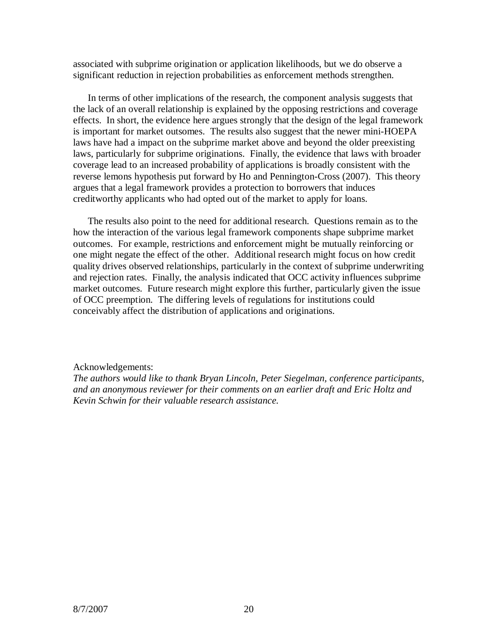associated with subprime origination or application likelihoods, but we do observe a significant reduction in rejection probabilities as enforcement methods strengthen.

In terms of other implications of the research, the component analysis suggests that the lack of an overall relationship is explained by the opposing restrictions and coverage effects. In short, the evidence here argues strongly that the design of the legal framework is important for market outsomes. The results also suggest that the newer mini-HOEPA laws have had a impact on the subprime market above and beyond the older preexisting laws, particularly for subprime originations. Finally, the evidence that laws with broader coverage lead to an increased probability of applications is broadly consistent with the reverse lemons hypothesis put forward by Ho and Pennington-Cross (2007). This theory argues that a legal framework provides a protection to borrowers that induces creditworthy applicants who had opted out of the market to apply for loans.

The results also point to the need for additional research. Questions remain as to the how the interaction of the various legal framework components shape subprime market outcomes. For example, restrictions and enforcement might be mutually reinforcing or one might negate the effect of the other. Additional research might focus on how credit quality drives observed relationships, particularly in the context of subprime underwriting and rejection rates. Finally, the analysis indicated that OCC activity influences subprime market outcomes. Future research might explore this further, particularly given the issue of OCC preemption. The differing levels of regulations for institutions could conceivably affect the distribution of applications and originations.

Acknowledgements:

*The authors would like to thank Bryan Lincoln, Peter Siegelman, conference participants, and an anonymous reviewer for their comments on an earlier draft and Eric Holtz and Kevin Schwin for their valuable research assistance.*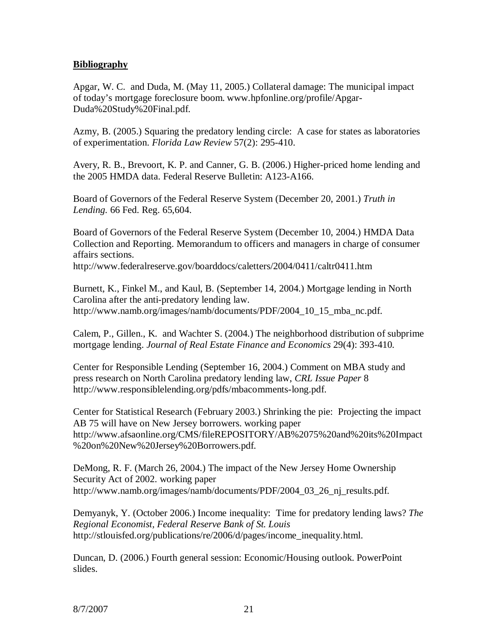#### **Bibliography**

Apgar, W. C. and Duda, M. (May 11, 2005.) Collateral damage: The municipal impact of today's mortgage foreclosure boom. www.hpfonline.org/profile/Apgar-Duda%20Study%20Final.pdf.

Azmy, B. (2005.) Squaring the predatory lending circle: A case for states as laboratories of experimentation. *Florida Law Review* 57(2): 295-410.

Avery, R. B., Brevoort, K. P. and Canner, G. B. (2006.) Higher-priced home lending and the 2005 HMDA data. Federal Reserve Bulletin: A123-A166.

Board of Governors of the Federal Reserve System (December 20, 2001.) *Truth in Lending.* 66 Fed. Reg. 65,604.

Board of Governors of the Federal Reserve System (December 10, 2004.) HMDA Data Collection and Reporting. Memorandum to officers and managers in charge of consumer affairs sections.

http://www.federalreserve.gov/boarddocs/caletters/2004/0411/caltr0411.htm

Burnett, K., Finkel M., and Kaul, B. (September 14, 2004.) Mortgage lending in North Carolina after the anti-predatory lending law. http://www.namb.org/images/namb/documents/PDF/2004\_10\_15\_mba\_nc.pdf.

Calem, P., Gillen., K. and Wachter S. (2004.) The neighborhood distribution of subprime mortgage lending. *Journal of Real Estate Finance and Economics* 29(4): 393-410.

Center for Responsible Lending (September 16, 2004.) Comment on MBA study and press research on North Carolina predatory lending law, *CRL Issue Paper* 8 http://www.responsiblelending.org/pdfs/mbacomments-long.pdf.

Center for Statistical Research (February 2003.) Shrinking the pie: Projecting the impact AB 75 will have on New Jersey borrowers. working paper http://www.afsaonline.org/CMS/fileREPOSITORY/AB%2075%20and%20its%20Impact %20on%20New%20Jersey%20Borrowers.pdf.

DeMong, R. F. (March 26, 2004.) The impact of the New Jersey Home Ownership Security Act of 2002. working paper http://www.namb.org/images/namb/documents/PDF/2004\_03\_26\_nj\_results.pdf.

Demyanyk, Y. (October 2006.) Income inequality: Time for predatory lending laws? *The Regional Economist, Federal Reserve Bank of St. Louis* http://stlouisfed.org/publications/re/2006/d/pages/income\_inequality.html.

Duncan, D. (2006.) Fourth general session: Economic/Housing outlook. PowerPoint slides.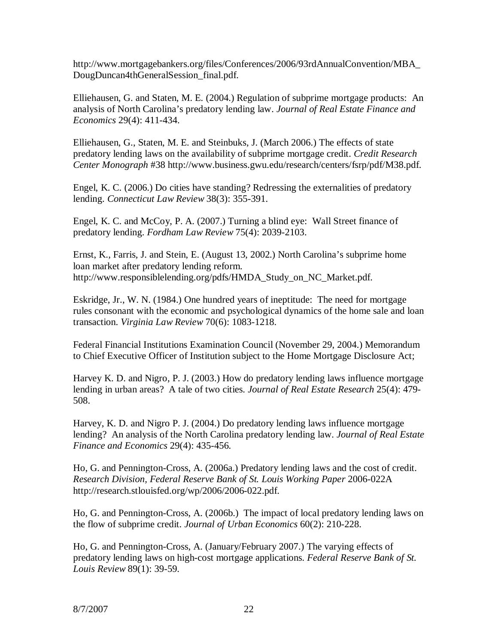http://www.mortgagebankers.org/files/Conferences/2006/93rdAnnualConvention/MBA\_ DougDuncan4thGeneralSession\_final.pdf.

Elliehausen, G. and Staten, M. E. (2004.) Regulation of subprime mortgage products: An analysis of North Carolina's predatory lending law. *Journal of Real Estate Finance and Economics* 29(4): 411-434.

Elliehausen, G., Staten, M. E. and Steinbuks, J. (March 2006.) The effects of state predatory lending laws on the availability of subprime mortgage credit. *Credit Research Center Monograph* #38 http://www.business.gwu.edu/research/centers/fsrp/pdf/M38.pdf.

Engel, K. C. (2006.) Do cities have standing? Redressing the externalities of predatory lending. *Connecticut Law Review* 38(3): 355-391.

Engel, K. C. and McCoy, P. A. (2007.) Turning a blind eye: Wall Street finance of predatory lending. *Fordham Law Review* 75(4): 2039-2103.

Ernst, K., Farris, J. and Stein, E. (August 13, 2002.) North Carolina's subprime home loan market after predatory lending reform. http://www.responsiblelending.org/pdfs/HMDA\_Study\_on\_NC\_Market.pdf.

Eskridge, Jr., W. N. (1984.) One hundred years of ineptitude: The need for mortgage rules consonant with the economic and psychological dynamics of the home sale and loan transaction. *Virginia Law Review* 70(6): 1083-1218.

Federal Financial Institutions Examination Council (November 29, 2004.) Memorandum to Chief Executive Officer of Institution subject to the Home Mortgage Disclosure Act;

Harvey K. D. and Nigro, P. J. (2003.) How do predatory lending laws influence mortgage lending in urban areas? A tale of two cities. *Journal of Real Estate Research* 25(4): 479- 508.

Harvey, K. D. and Nigro P. J. (2004.) Do predatory lending laws influence mortgage lending? An analysis of the North Carolina predatory lending law. *Journal of Real Estate Finance and Economics* 29(4): 435-456.

Ho, G. and Pennington-Cross, A. (2006a.) Predatory lending laws and the cost of credit. *Research Division, Federal Reserve Bank of St. Louis Working Paper* 2006-022A http://research.stlouisfed.org/wp/2006/2006-022.pdf.

Ho, G. and Pennington-Cross, A. (2006b.) The impact of local predatory lending laws on the flow of subprime credit. *Journal of Urban Economics* 60(2): 210-228.

Ho, G. and Pennington-Cross, A. (January/February 2007.) The varying effects of predatory lending laws on high-cost mortgage applications. *Federal Reserve Bank of St. Louis Review* 89(1): 39-59.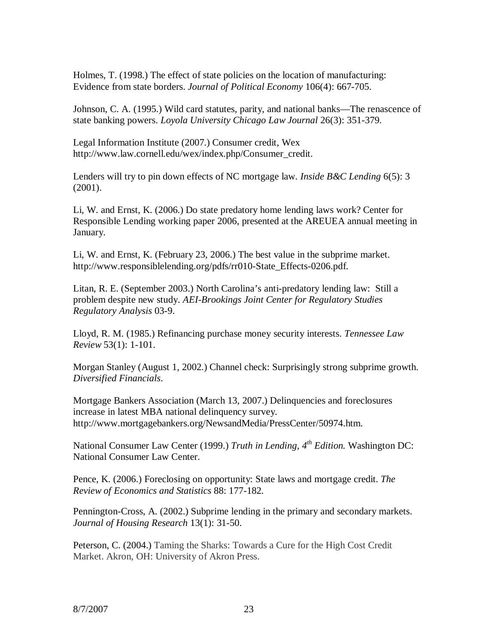Holmes, T. (1998.) The effect of state policies on the location of manufacturing: Evidence from state borders. *Journal of Political Economy* 106(4): 667-705.

Johnson, C. A. (1995.) Wild card statutes, parity, and national banks—The renascence of state banking powers. *Loyola University Chicago Law Journal* 26(3): 351-379.

Legal Information Institute (2007.) Consumer credit, Wex http://www.law.cornell.edu/wex/index.php/Consumer\_credit.

Lenders will try to pin down effects of NC mortgage law. *Inside B&C Lending* 6(5): 3 (2001).

Li, W. and Ernst, K. (2006.) Do state predatory home lending laws work? Center for Responsible Lending working paper 2006, presented at the AREUEA annual meeting in January.

Li, W. and Ernst, K. (February 23, 2006.) The best value in the subprime market. http://www.responsiblelending.org/pdfs/rr010-State\_Effects-0206.pdf.

Litan, R. E. (September 2003.) North Carolina's anti-predatory lending law: Still a problem despite new study. *AEI-Brookings Joint Center for Regulatory Studies Regulatory Analysis* 03-9.

Lloyd, R. M. (1985.) Refinancing purchase money security interests. *Tennessee Law Review* 53(1): 1-101.

Morgan Stanley (August 1, 2002.) Channel check: Surprisingly strong subprime growth. *Diversified Financials*.

Mortgage Bankers Association (March 13, 2007.) Delinquencies and foreclosures increase in latest MBA national delinquency survey. http://www.mortgagebankers.org/NewsandMedia/PressCenter/50974.htm.

National Consumer Law Center (1999.) *Truth in Lending, 4 th Edition.* Washington DC: National Consumer Law Center.

Pence, K. (2006.) Foreclosing on opportunity: State laws and mortgage credit. *The Review of Economics and Statistics* 88: 177-182.

Pennington-Cross, A. (2002.) Subprime lending in the primary and secondary markets. *Journal of Housing Research* 13(1): 31-50.

Peterson, C. (2004.) Taming the Sharks: Towards a Cure for the High Cost Credit Market. Akron, OH: University of Akron Press.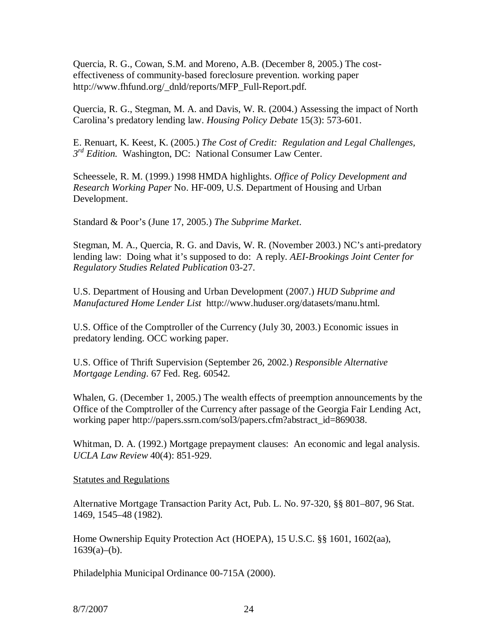Quercia, R. G., Cowan, S.M. and Moreno, A.B. (December 8, 2005.) The costeffectiveness of community-based foreclosure prevention. working paper http://www.fhfund.org/\_dnld/reports/MFP\_Full-Report.pdf.

Quercia, R. G., Stegman, M. A. and Davis, W. R. (2004.) Assessing the impact of North Carolina's predatory lending law. *Housing Policy Debate* 15(3): 573-601.

E. Renuart, K. Keest, K. (2005.) *The Cost of Credit: Regulation and Legal Challenges,*  $3^{rd}$  Edition. Washington, DC: National Consumer Law Center.

Scheessele, R. M. (1999.) 1998 HMDA highlights. *Office of Policy Development and Research Working Paper* No. HF-009, U.S. Department of Housing and Urban Development.

Standard & Poor's (June 17, 2005.) *The Subprime Market*.

Stegman, M. A., Quercia, R. G. and Davis, W. R. (November 2003.) NC's anti-predatory lending law: Doing what it's supposed to do: A reply. *AEI-Brookings Joint Center for Regulatory Studies Related Publication* 03-27.

U.S. Department of Housing and Urban Development (2007.) *HUD Subprime and Manufactured Home Lender List* http://www.huduser.org/datasets/manu.html.

U.S. Office of the Comptroller of the Currency (July 30, 2003.) Economic issues in predatory lending. OCC working paper.

U.S. Office of Thrift Supervision (September 26, 2002.) *Responsible Alternative Mortgage Lending*. 67 Fed. Reg. 60542.

Whalen, G. (December 1, 2005.) The wealth effects of preemption announcements by the Office of the Comptroller of the Currency after passage of the Georgia Fair Lending Act, working paper http://papers.ssrn.com/sol3/papers.cfm?abstract\_id=869038.

Whitman, D. A. (1992.) Mortgage prepayment clauses: An economic and legal analysis. *UCLA Law Review* 40(4): 851-929.

Statutes and Regulations

Alternative Mortgage Transaction Parity Act, Pub. L. No. 97-320, §§ 801–807, 96 Stat. 1469, 1545–48 (1982).

Home Ownership Equity Protection Act (HOEPA), 15 U.S.C. §§ 1601, 1602(aa),  $1639(a)–(b)$ .

Philadelphia Municipal Ordinance 00-715A (2000).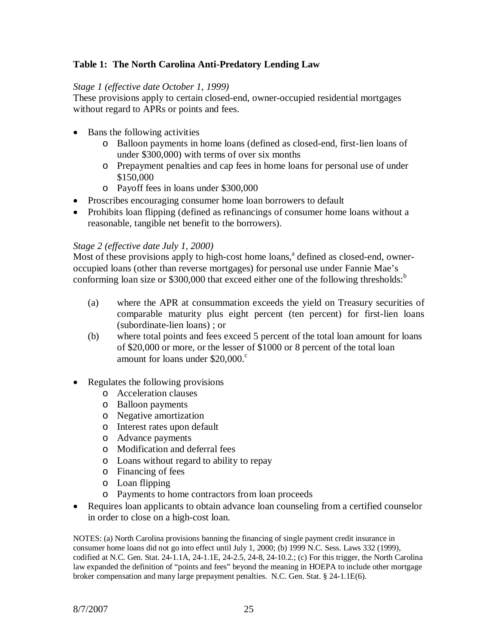## **Table 1: The North Carolina Anti-Predatory Lending Law**

#### *Stage 1 (effective date October 1, 1999)*

These provisions apply to certain closed-end, owner-occupied residential mortgages without regard to APRs or points and fees.

- Bans the following activities
	- o Balloon payments in home loans (defined as closed-end, first-lien loans of under \$300,000) with terms of over six months
	- o Prepayment penalties and cap fees in home loans for personal use of under \$150,000
	- o Payoff fees in loans under \$300,000
- Proscribes encouraging consumer home loan borrowers to default
- Prohibits loan flipping (defined as refinancings of consumer home loans without a reasonable, tangible net benefit to the borrowers).

#### *Stage 2 (effective date July 1, 2000)*

Most of these provisions apply to high-cost home loans,<sup>a</sup> defined as closed-end, owneroccupied loans (other than reverse mortgages) for personal use under Fannie Mae's conforming loan size or \$300,000 that exceed either one of the following thresholds:<sup>b</sup>

- (a) where the APR at consummation exceeds the yield on Treasury securities of comparable maturity plus eight percent (ten percent) for first-lien loans (subordinate-lien loans) ; or
- (b) where total points and fees exceed 5 percent of the total loan amount for loans of \$20,000 or more, or the lesser of \$1000 or 8 percent of the total loan amount for loans under \$20,000.<sup>c</sup>
- Regulates the following provisions
	- o Acceleration clauses
	- o Balloon payments
	- o Negative amortization
	- o Interest rates upon default
	- o Advance payments
	- o Modification and deferral fees
	- o Loans without regard to ability to repay
	- o Financing of fees
	- o Loan flipping
	- o Payments to home contractors from loan proceeds
- Requires loan applicants to obtain advance loan counseling from a certified counselor in order to close on a high-cost loan.

NOTES: (a) North Carolina provisions banning the financing of single payment credit insurance in consumer home loans did not go into effect until July 1, 2000; (b) 1999 N.C. Sess. Laws 332 (1999), codified at N.C. Gen. Stat. 24-1.1A, 24-1.1E, 24-2.5, 24-8, 24-10.2.; (c) For this trigger, the North Carolina law expanded the definition of "points and fees" beyond the meaning in HOEPA to include other mortgage broker compensation and many large prepayment penalties. N.C. Gen. Stat. § 24-1.1E(6).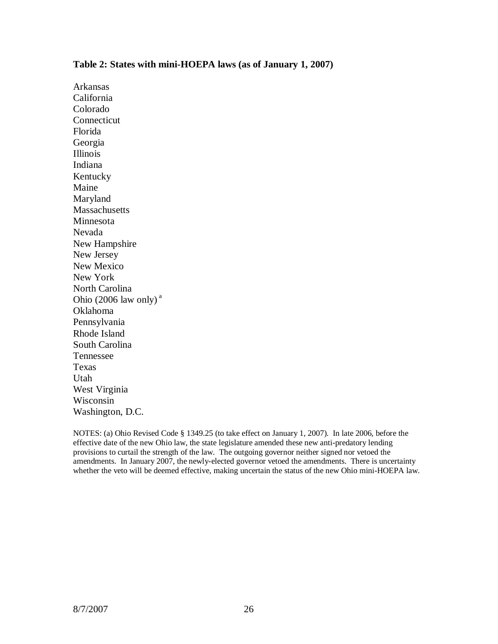#### **Table 2: States with mini-HOEPA laws (as of January 1, 2007)**

Arkansas California Colorado Connecticut Florida Georgia Illinois Indiana Kentucky Maine Maryland **Massachusetts** Minnesota Nevada New Hampshire New Jersey New Mexico New York North Carolina Ohio (2006 law only)<sup>a</sup> Oklahoma Pennsylvania Rhode Island South Carolina Tennessee Texas Utah West Virginia Wisconsin Washington, D.C.

NOTES: (a) Ohio Revised Code § 1349.25 (to take effect on January 1, 2007). In late 2006, before the effective date of the new Ohio law, the state legislature amended these new anti-predatory lending provisions to curtail the strength of the law. The outgoing governor neither signed nor vetoed the amendments. In January 2007, the newly-elected governor vetoed the amendments. There is uncertainty whether the veto will be deemed effective, making uncertain the status of the new Ohio mini-HOEPA law.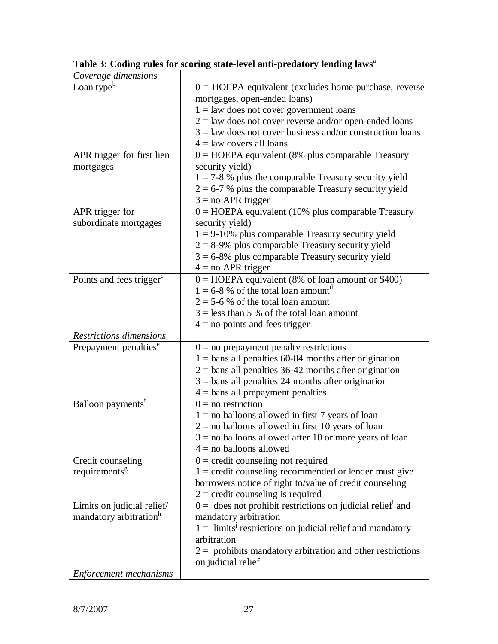| Coverage dimensions                  |                                                                         |
|--------------------------------------|-------------------------------------------------------------------------|
| Loan type $b$                        | $0 = \text{HOEPA}$ equivalent (excludes home purchase, reverse          |
|                                      | mortgages, open-ended loans)                                            |
|                                      | $1 =$ law does not cover government loans                               |
|                                      | $2 =$ law does not cover reverse and/or open-ended loans                |
|                                      | $3 =$ law does not cover business and/or construction loans             |
|                                      | $4 =$ law covers all loans                                              |
| APR trigger for first lien           | $0 = \text{HOEPA}$ equivalent (8% plus comparable Treasury              |
| mortgages                            | security yield)                                                         |
|                                      | $1 = 7-8$ % plus the comparable Treasury security yield                 |
|                                      | $2 = 6-7$ % plus the comparable Treasury security yield                 |
|                                      | $3 = no$ APR trigger                                                    |
| APR trigger for                      | $0 = \text{HOEPA}$ equivalent (10% plus comparable Treasury             |
| subordinate mortgages                | security yield)                                                         |
|                                      | $1 = 9-10\%$ plus comparable Treasury security yield                    |
|                                      | $2 = 8-9%$ plus comparable Treasury security yield                      |
|                                      | $3 = 6-8\%$ plus comparable Treasury security yield                     |
|                                      | $4 = no$ APR trigger                                                    |
| Points and fees trigger <sup>c</sup> | $\overline{0}$ = HOEPA equivalent (8% of loan amount or \$400)          |
|                                      | $1 = 6-8$ % of the total loan amount <sup>d</sup>                       |
|                                      | $2 = 5-6$ % of the total loan amount                                    |
|                                      | $3 =$ less than 5 % of the total loan amount                            |
|                                      | $4 =$ no points and fees trigger                                        |
| Restrictions dimensions              |                                                                         |
| Prepayment penalties <sup>e</sup>    | $0 =$ no prepayment penalty restrictions                                |
|                                      | $1 =$ bans all penalties 60-84 months after origination                 |
|                                      | $2 =$ bans all penalties 36-42 months after origination                 |
|                                      | $3 =$ bans all penalties 24 months after origination                    |
|                                      | $4 =$ bans all prepayment penalties                                     |
| Balloon payments <sup>1</sup>        | $0 =$ no restriction                                                    |
|                                      | $1 =$ no balloons allowed in first 7 years of loan                      |
|                                      | $2 =$ no balloons allowed in first 10 years of loan                     |
|                                      | $3 =$ no balloons allowed after 10 or more years of loan                |
|                                      | $4 =$ no balloons allowed                                               |
| Credit counseling                    | $0 =$ credit counseling not required                                    |
| requirements <sup>g</sup>            | $1 =$ credit counseling recommended or lender must give                 |
|                                      | borrowers notice of right to/value of credit counseling                 |
|                                      | $2 =$ credit counseling is required                                     |
| Limits on judicial relief/           | $0 =$ does not prohibit restrictions on judicial relief and             |
| mandatory arbitration <sup>h</sup>   | mandatory arbitration                                                   |
|                                      | $1 =$ limits <sup>1</sup> restrictions on judicial relief and mandatory |
|                                      | arbitration                                                             |
|                                      | $2 =$ prohibits mandatory arbitration and other restrictions            |
|                                      |                                                                         |
|                                      | on judicial relief                                                      |

# **Table 3: Coding rules for scoring state-level anti-predatory lending laws** a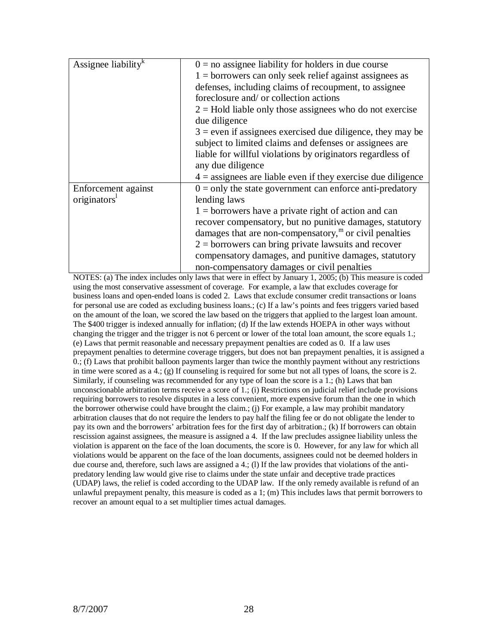| Assignee liability <sup><math>k</math></sup> | $0 =$ no assignee liability for holders in due course                          |  |  |  |  |  |
|----------------------------------------------|--------------------------------------------------------------------------------|--|--|--|--|--|
|                                              | $1 =$ borrowers can only seek relief against assignees as                      |  |  |  |  |  |
|                                              | defenses, including claims of recoupment, to assignee                          |  |  |  |  |  |
|                                              | foreclosure and/ or collection actions                                         |  |  |  |  |  |
|                                              | $2 =$ Hold liable only those assignees who do not exercise                     |  |  |  |  |  |
|                                              | due diligence                                                                  |  |  |  |  |  |
|                                              | $3$ = even if assignees exercised due diligence, they may be                   |  |  |  |  |  |
|                                              | subject to limited claims and defenses or assignees are                        |  |  |  |  |  |
|                                              | liable for willful violations by originators regardless of                     |  |  |  |  |  |
|                                              | any due diligence                                                              |  |  |  |  |  |
|                                              | $4 =$ assignees are liable even if they exercise due diligence                 |  |  |  |  |  |
| Enforcement against                          | $0 =$ only the state government can enforce anti-predatory                     |  |  |  |  |  |
| originators <sup>1</sup>                     | lending laws                                                                   |  |  |  |  |  |
|                                              | $1 =$ borrowers have a private right of action and can                         |  |  |  |  |  |
|                                              | recover compensatory, but no punitive damages, statutory                       |  |  |  |  |  |
|                                              | damages that are non-compensatory, $\mathrm{m}_{\text{or}}$ or civil penalties |  |  |  |  |  |
|                                              | $2 =$ borrowers can bring private lawsuits and recover                         |  |  |  |  |  |
|                                              | compensatory damages, and punitive damages, statutory                          |  |  |  |  |  |
|                                              | non-compensatory damages or civil penalties                                    |  |  |  |  |  |

NOTES: (a) The index includes only laws that were in effect by January 1, 2005; (b) This measure is coded using the most conservative assessment of coverage. For example, a law that excludes coverage for business loans and open-ended loans is coded 2. Laws that exclude consumer credit transactions or loans for personal use are coded as excluding business loans.; (c) If a law's points and fees triggers varied based on the amount of the loan, we scored the law based on the triggers that applied to the largest loan amount. The \$400 trigger is indexed annually for inflation; (d) If the law extends HOEPA in other ways without changing the trigger and the trigger is not 6 percent or lower of the total loan amount, the score equals 1.; (e) Laws that permit reasonable and necessary prepayment penalties are coded as 0. If a law uses prepayment penalties to determine coverage triggers, but does not ban prepayment penalties, it is assigned a 0.; (f) Laws that prohibit balloon payments larger than twice the monthly payment without any restrictions in time were scored as a 4.; (g) If counseling is required for some but not all types of loans, the score is 2. Similarly, if counseling was recommended for any type of loan the score is a 1.; (h) Laws that ban unconscionable arbitration terms receive a score of 1.; (i) Restrictions on judicial relief include provisions requiring borrowers to resolve disputes in a less convenient, more expensive forum than the one in which the borrower otherwise could have brought the claim.; (j) For example, a law may prohibit mandatory arbitration clauses that do not require the lenders to pay half the filing fee or do not obligate the lender to pay its own and the borrowers' arbitration fees for the first day of arbitration.; (k) If borrowers can obtain rescission against assignees, the measure is assigned a 4. If the law precludes assignee liability unless the violation is apparent on the face of the loan documents, the score is 0. However, for any law for which all violations would be apparent on the face of the loan documents, assignees could not be deemed holders in due course and, therefore, such laws are assigned a 4.; (1) If the law provides that violations of the antipredatory lending law would give rise to claims under the state unfair and deceptive trade practices (UDAP) laws, the relief is coded according to the UDAP law. If the only remedy available is refund of an unlawful prepayment penalty, this measure is coded as a 1; (m) This includes laws that permit borrowers to recover an amount equal to a set multiplier times actual damages.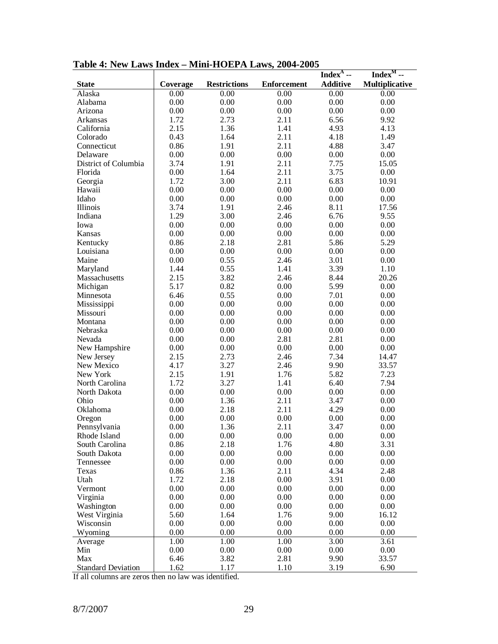|                           |          |                     |                    | Index $\overline{X^A -}$ | Index $M_{\bullet}$ . |
|---------------------------|----------|---------------------|--------------------|--------------------------|-----------------------|
| <b>State</b>              | Coverage | <b>Restrictions</b> | <b>Enforcement</b> | <b>Additive</b>          | Multiplicative        |
| Alaska                    | 0.00     | 0.00                | 0.00               | 0.00                     | 0.00                  |
| Alabama                   | 0.00     | 0.00                | 0.00               | 0.00                     | 0.00                  |
| Arizona                   | 0.00     | 0.00                | 0.00               | 0.00                     | 0.00                  |
| Arkansas                  | 1.72     | 2.73                | 2.11               | 6.56                     | 9.92                  |
| California                | 2.15     | 1.36                | 1.41               | 4.93                     | 4.13                  |
| Colorado                  | 0.43     | 1.64                | 2.11               | 4.18                     | 1.49                  |
| Connecticut               | 0.86     | 1.91                | 2.11               | 4.88                     | 3.47                  |
| Delaware                  | 0.00     | 0.00                | 0.00               | 0.00                     | 0.00                  |
| District of Columbia      | 3.74     | 1.91                | 2.11               | 7.75                     | 15.05                 |
| Florida                   | 0.00     | 1.64                | 2.11               | 3.75                     | 0.00                  |
| Georgia                   | 1.72     | 3.00                | 2.11               | 6.83                     | 10.91                 |
| Hawaii                    | 0.00     | 0.00                | 0.00               | 0.00                     | 0.00                  |
| Idaho                     | 0.00     | 0.00                | 0.00               | 0.00                     | 0.00                  |
| Illinois                  | 3.74     | 1.91                | 2.46               | 8.11                     | 17.56                 |
| Indiana                   | 1.29     | 3.00                | 2.46               | 6.76                     | 9.55                  |
| Iowa                      | 0.00     | 0.00                | 0.00               | 0.00                     | 0.00                  |
| Kansas                    | 0.00     | 0.00                | 0.00               | 0.00                     | 0.00                  |
| Kentucky                  | 0.86     | 2.18                | 2.81               | 5.86                     | 5.29                  |
| Louisiana                 | 0.00     | 0.00                | 0.00               | 0.00                     | 0.00                  |
| Maine                     | 0.00     | 0.55                | 2.46               | 3.01                     | 0.00                  |
|                           | 1.44     |                     | 1.41               | 3.39                     |                       |
| Maryland                  |          | 0.55                |                    |                          | 1.10                  |
| Massachusetts             | 2.15     | 3.82                | 2.46               | 8.44                     | 20.26<br>0.00         |
| Michigan                  | 5.17     | 0.82                | 0.00               | 5.99                     |                       |
| Minnesota                 | 6.46     | 0.55                | 0.00               | 7.01                     | 0.00                  |
| Mississippi               | 0.00     | 0.00                | 0.00               | 0.00                     | 0.00                  |
| Missouri                  | 0.00     | 0.00                | 0.00               | 0.00                     | 0.00                  |
| Montana                   | 0.00     | 0.00                | 0.00               | 0.00                     | 0.00                  |
| Nebraska                  | 0.00     | 0.00                | 0.00               | 0.00                     | 0.00                  |
| Nevada                    | 0.00     | 0.00                | 2.81               | 2.81                     | 0.00                  |
| New Hampshire             | 0.00     | 0.00                | 0.00               | 0.00                     | 0.00                  |
| New Jersey                | 2.15     | 2.73                | 2.46               | 7.34                     | 14.47                 |
| New Mexico                | 4.17     | 3.27                | 2.46               | 9.90                     | 33.57                 |
| New York                  | 2.15     | 1.91                | 1.76               | 5.82                     | 7.23                  |
| North Carolina            | 1.72     | 3.27                | 1.41               | 6.40                     | 7.94                  |
| North Dakota              | 0.00     | 0.00                | 0.00               | 0.00                     | 0.00                  |
| Ohio                      | 0.00     | 1.36                | 2.11               | 3.47                     | 0.00                  |
| Oklahoma                  | 0.00     | 2.18                | 2.11               | 4.29                     | 0.00                  |
| Oregon                    | 0.00     | 0.00                | 0.00               | 0.00                     | 0.00                  |
| Pennsylvania              | 0.00     | 1.36                | 2.11               | 3.47                     | 0.00                  |
| Rhode Island              | 0.00     | 0.00                | 0.00               | $0.00\,$                 | $0.00\,$              |
| South Carolina            | 0.86     | 2.18                | 1.76               | 4.80                     | 3.31                  |
| South Dakota              | 0.00     | 0.00                | 0.00               | 0.00                     | 0.00                  |
| Tennessee                 | 0.00     | 0.00                | 0.00               | 0.00                     | 0.00                  |
| Texas                     | 0.86     | 1.36                | 2.11               | 4.34                     | 2.48                  |
| Utah                      | 1.72     | 2.18                | 0.00               | 3.91                     | 0.00                  |
| Vermont                   | 0.00     | 0.00                | 0.00               | 0.00                     | 0.00                  |
| Virginia                  | 0.00     | 0.00                | 0.00               | 0.00                     | 0.00                  |
| Washington                | 0.00     | 0.00                | 0.00               | 0.00                     | 0.00                  |
| West Virginia             | 5.60     | 1.64                | 1.76               | 9.00                     | 16.12                 |
| Wisconsin                 | 0.00     | 0.00                | 0.00               | 0.00                     | 0.00                  |
| Wyoming                   | 0.00     | 0.00                | 0.00               | 0.00                     | 0.00                  |
| Average                   | 1.00     | 1.00                | 1.00               | 3.00                     | 3.61                  |
| Min                       | 0.00     | 0.00                | 0.00               | 0.00                     | 0.00                  |
| Max                       | 6.46     | 3.82                | 2.81               | 9.90                     | 33.57                 |
| <b>Standard Deviation</b> | 1.62     | 1.17                | 1.10               | 3.19                     | 6.90                  |

| Table 4: New Laws Index - Mini-HOEPA Laws, 2004-2005 |  |  |
|------------------------------------------------------|--|--|
|------------------------------------------------------|--|--|

If all columns are zeros then no law was identified.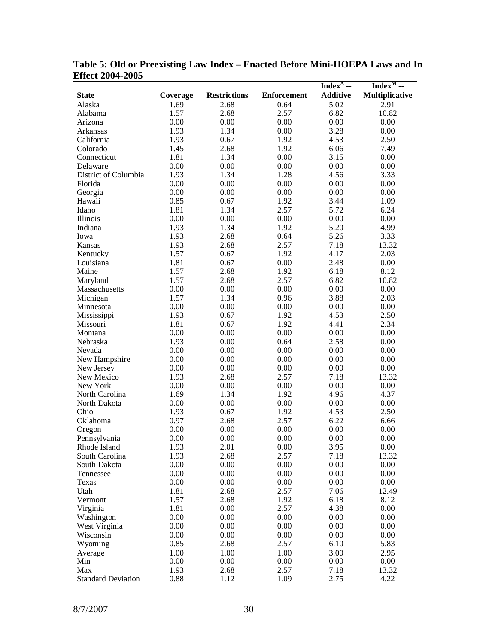| <b>Effect 2004-2005</b>   |          |                     |                    |                 |                       |
|---------------------------|----------|---------------------|--------------------|-----------------|-----------------------|
|                           |          |                     |                    | Index $^A$ --   | $Index^M -$           |
| <b>State</b>              | Coverage | <b>Restrictions</b> | <b>Enforcement</b> | <b>Additive</b> | <b>Multiplicative</b> |
| Alaska                    | 1.69     | 2.68                | 0.64               | 5.02            | 2.91                  |
| Alabama                   | 1.57     | 2.68                | 2.57               | 6.82            | 10.82                 |
| Arizona                   | 0.00     | 0.00                | 0.00               | 0.00            | 0.00                  |
| Arkansas                  | 1.93     | 1.34                | 0.00               | 3.28            | 0.00                  |
| California                | 1.93     | 0.67                | 1.92               | 4.53            | 2.50                  |
| Colorado                  | 1.45     | 2.68                | 1.92               | 6.06            | 7.49                  |
| Connecticut               | 1.81     | 1.34                | 0.00               | 3.15            | 0.00                  |
| Delaware                  | 0.00     | 0.00                | 0.00               | 0.00            | 0.00                  |
| District of Columbia      | 1.93     | 1.34                | 1.28               | 4.56            | 3.33                  |
| Florida                   | 0.00     | 0.00                | 0.00               | 0.00            | 0.00                  |
| Georgia                   | 0.00     | 0.00                | 0.00               | 0.00            | 0.00                  |
| Hawaii                    | 0.85     | 0.67                | 1.92               | 3.44            | 1.09                  |
| Idaho                     | 1.81     | 1.34                | 2.57               | 5.72            | 6.24                  |
| Illinois                  | 0.00     | 0.00                | 0.00               | 0.00            | 0.00                  |
| Indiana                   | 1.93     | 1.34                | 1.92               | 5.20            | 4.99                  |
| Iowa                      | 1.93     | 2.68                | 0.64               | 5.26            | 3.33                  |
| Kansas                    | 1.93     | 2.68                | 2.57               | 7.18            | 13.32                 |
| Kentucky                  | 1.57     | 0.67                | 1.92               | 4.17            | 2.03                  |
| Louisiana                 | 1.81     | 0.67                | 0.00               | 2.48            | 0.00                  |
| Maine                     | 1.57     | 2.68                | 1.92               | 6.18            | 8.12                  |
| Maryland                  | 1.57     | 2.68                | 2.57               | 6.82            | 10.82                 |
| Massachusetts             | 0.00     | 0.00                | 0.00               | 0.00            | 0.00                  |
| Michigan                  | 1.57     | 1.34                | 0.96               | 3.88            | 2.03                  |
| Minnesota                 | 0.00     | 0.00                | 0.00               | 0.00            | 0.00                  |
| Mississippi               | 1.93     | 0.67                | 1.92               | 4.53            | 2.50                  |
| Missouri                  | 1.81     | 0.67                | 1.92               | 4.41            | 2.34                  |
| Montana                   | 0.00     | 0.00                | 0.00               | 0.00            | 0.00                  |
| Nebraska                  | 1.93     | 0.00                | 0.64               | 2.58            | 0.00                  |
| Nevada                    | 0.00     | 0.00                | 0.00               | 0.00            | 0.00                  |
| New Hampshire             | 0.00     | 0.00                | 0.00               | 0.00            | 0.00                  |
| New Jersey                | 0.00     | 0.00                | 0.00               | 0.00            | 0.00                  |
| New Mexico                | 1.93     | 2.68                | 2.57               | 7.18            | 13.32                 |
| New York                  | 0.00     | 0.00                | 0.00               | 0.00            | 0.00                  |
| North Carolina            | 1.69     | 1.34                | 1.92               | 4.96            | 4.37                  |
| North Dakota              | 0.00     | 0.00                | 0.00               | 0.00            | 0.00                  |
| Ohio                      | 1.93     | 0.67                | 1.92               | 4.53            | 2.50                  |
| Oklahoma                  | 0.97     | 2.68                | 2.57               | 6.22            | 6.66                  |
| Oregon                    | 0.00     | 0.00                | 0.00               | 0.00            | 0.00                  |
| Pennsylvania              | $0.00\,$ | $0.00\,$            | $0.00\,$           | $0.00\,$        | $0.00\,$              |
| Rhode Island              | 1.93     | 2.01                | 0.00               | 3.95            | 0.00                  |
| South Carolina            | 1.93     | 2.68                | 2.57               | 7.18            | 13.32                 |
| South Dakota              | 0.00     | 0.00                | 0.00               | 0.00            | 0.00                  |
| Tennessee                 | 0.00     | 0.00                | 0.00               | 0.00            | 0.00                  |
| Texas                     | 0.00     | 0.00                | 0.00               | 0.00            | 0.00                  |
| Utah                      | 1.81     | 2.68                | 2.57               | 7.06            | 12.49                 |
| Vermont                   | 1.57     | 2.68                | 1.92               | 6.18            | 8.12                  |
| Virginia                  | 1.81     | 0.00                | 2.57               | 4.38            | 0.00                  |
| Washington                | 0.00     | 0.00                | 0.00               | 0.00            | 0.00                  |
| West Virginia             | 0.00     | 0.00                | 0.00               | 0.00            | 0.00                  |
| Wisconsin                 | 0.00     | 0.00                | 0.00               | 0.00            | 0.00                  |
| Wyoming                   | 0.85     | 2.68                | 2.57               | 6.10            | 5.83                  |
|                           | 1.00     | 1.00                | 1.00               | 3.00            | 2.95                  |
| Average<br>Min            | 0.00     | 0.00                | 0.00               | 0.00            | 0.00                  |
| Max                       | 1.93     | 2.68                | 2.57               | 7.18            | 13.32                 |
| <b>Standard Deviation</b> | 0.88     | 1.12                | 1.09               | 2.75            | 4.22                  |
|                           |          |                     |                    |                 |                       |

**Table 5: Old or Preexisting Law Index – Enacted Before Mini-HOEPA Laws and In**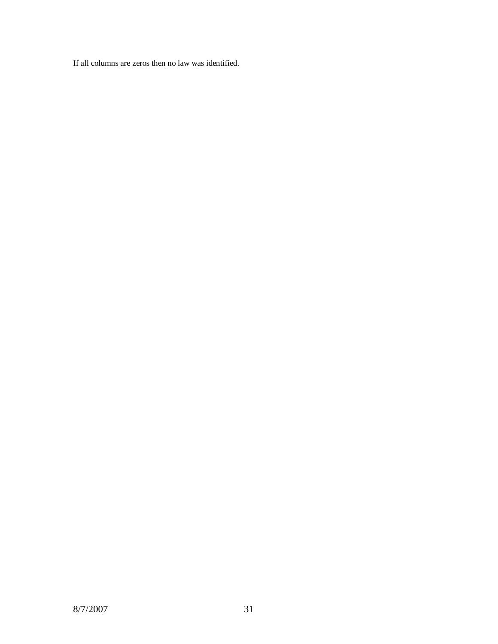If all columns are zeros then no law was identified.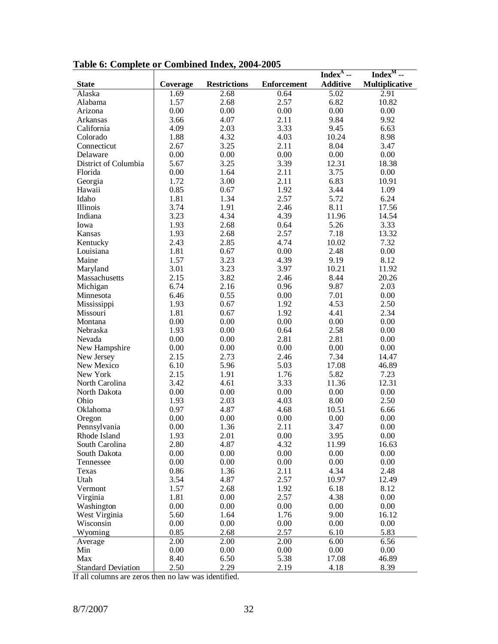|                            |              |                     |                    | Index $A$ --    | Index $M$ --          |
|----------------------------|--------------|---------------------|--------------------|-----------------|-----------------------|
| <b>State</b>               | Coverage     | <b>Restrictions</b> | <b>Enforcement</b> | <b>Additive</b> | <b>Multiplicative</b> |
| Alaska                     | 1.69         | 2.68                | 0.64               | 5.02            | 2.91                  |
| Alabama                    | 1.57         | 2.68                | 2.57               | 6.82            | 10.82                 |
| Arizona                    | 0.00         | 0.00                | 0.00               | 0.00            | 0.00                  |
| Arkansas                   | 3.66         | 4.07                | 2.11               | 9.84            | 9.92                  |
| California                 | 4.09         | 2.03                | 3.33               | 9.45            | 6.63                  |
| Colorado                   | 1.88         | 4.32                | 4.03               | 10.24           | 8.98                  |
| Connecticut                | 2.67         | 3.25                | 2.11               | 8.04            | 3.47                  |
| Delaware                   | 0.00         | 0.00                | 0.00               | 0.00            | 0.00                  |
| District of Columbia       | 5.67         | 3.25                | 3.39               | 12.31           | 18.38                 |
| Florida                    | 0.00         | 1.64                | 2.11               | 3.75            | 0.00                  |
| Georgia                    | 1.72         | 3.00                | 2.11               | 6.83            | 10.91                 |
| Hawaii                     | 0.85         | 0.67                | 1.92               | 3.44            | 1.09                  |
| Idaho                      | 1.81         | 1.34                | 2.57               | 5.72            | 6.24                  |
| Illinois                   | 3.74         | 1.91                | 2.46               | 8.11            | 17.56                 |
| Indiana                    | 3.23         | 4.34                | 4.39               | 11.96           | 14.54                 |
| Iowa                       | 1.93         | 2.68                | 0.64               | 5.26            | 3.33                  |
| Kansas                     | 1.93         | 2.68                | 2.57               | 7.18            | 13.32                 |
| Kentucky                   | 2.43         | 2.85                | 4.74               | 10.02           | 7.32                  |
| Louisiana                  | 1.81         | 0.67                | 0.00               | 2.48            | 0.00                  |
| Maine                      | 1.57         | 3.23                | 4.39               | 9.19            | 8.12                  |
| Maryland                   | 3.01         | 3.23                | 3.97               | 10.21           | 11.92                 |
| Massachusetts              | 2.15         | 3.82                | 2.46               | 8.44            | 20.26                 |
| Michigan                   | 6.74         | 2.16                | 0.96               | 9.87            | 2.03                  |
| Minnesota                  | 6.46         | 0.55                | 0.00               | 7.01            | 0.00                  |
| Mississippi                | 1.93         | 0.67                | 1.92               | 4.53            | 2.50                  |
| Missouri                   | 1.81         | 0.67                | 1.92               | 4.41            | 2.34                  |
| Montana                    | 0.00         | 0.00                | 0.00               | 0.00            | 0.00                  |
| Nebraska                   | 1.93         | 0.00                | 0.64               | 2.58            | 0.00                  |
| Nevada                     | 0.00         | 0.00                | 2.81               | 2.81            | 0.00                  |
| New Hampshire              | 0.00         | 0.00                | 0.00               | 0.00            | 0.00                  |
| New Jersey                 | 2.15         | 2.73                | 2.46               | 7.34            | 14.47                 |
| New Mexico                 | 6.10<br>2.15 | 5.96<br>1.91        | 5.03<br>1.76       | 17.08<br>5.82   | 46.89<br>7.23         |
| New York<br>North Carolina | 3.42         | 4.61                | 3.33               | 11.36           | 12.31                 |
| North Dakota               | 0.00         | 0.00                | 0.00               | 0.00            | 0.00                  |
| Ohio                       | 1.93         | 2.03                | 4.03               | 8.00            | 2.50                  |
| Oklahoma                   | 0.97         | 4.87                | 4.68               | 10.51           | 6.66                  |
| Oregon                     | 0.00         | 0.00                | 0.00               | 0.00            | 0.00                  |
| Pennsylvania               | 0.00         | 1.36                | 2.11               | 3.47            | 0.00                  |
| Rhode Island               | 1.93         | 2.01                | 0.00               | 3.95            | 0.00                  |
| South Carolina             | 2.80         | 4.87                | 4.32               | 11.99           | 16.63                 |
| South Dakota               | 0.00         | 0.00                | 0.00               | 0.00            | 0.00                  |
| Tennessee                  | 0.00         | 0.00                | 0.00               | 0.00            | 0.00                  |
| Texas                      | 0.86         | 1.36                | 2.11               | 4.34            | 2.48                  |
| Utah                       | 3.54         | 4.87                | 2.57               | 10.97           | 12.49                 |
| Vermont                    | 1.57         | 2.68                | 1.92               | 6.18            | 8.12                  |
| Virginia                   | 1.81         | 0.00                | 2.57               | 4.38            | 0.00                  |
| Washington                 | 0.00         | 0.00                | 0.00               | 0.00            | 0.00                  |
| West Virginia              | 5.60         | 1.64                | 1.76               | 9.00            | 16.12                 |
| Wisconsin                  | 0.00         | 0.00                | 0.00               | 0.00            | 0.00                  |
| Wyoming                    | 0.85         | 2.68                | 2.57               | 6.10            | 5.83                  |
| Average                    | 2.00         | 2.00                | 2.00               | 6.00            | 6.56                  |
| Min                        | 0.00         | 0.00                | 0.00               | 0.00            | 0.00                  |
| Max                        | 8.40         | 6.50                | 5.38               | 17.08           | 46.89                 |
| <b>Standard Deviation</b>  | 2.50         | 2.29                | 2.19               | 4.18            | 8.39                  |

**Table 6: Complete or Combined Index, 2004-2005**

If all columns are zeros then no law was identified.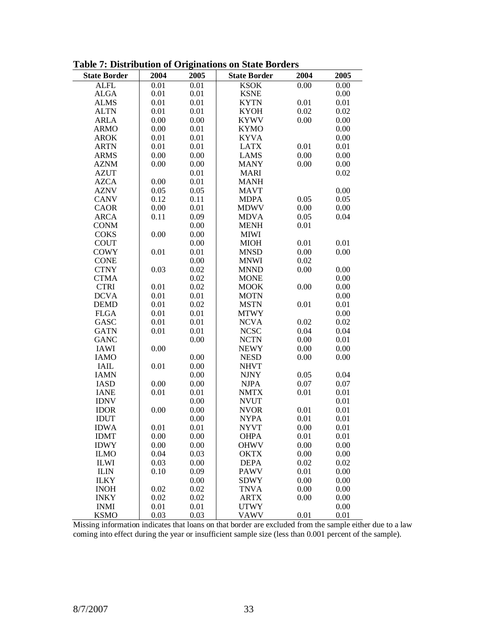| <b>State Border</b> | 2004 | 2005 | <b>State Border</b> | 2004     | 2005 |
|---------------------|------|------|---------------------|----------|------|
| <b>ALFL</b>         | 0.01 | 0.01 | <b>KSOK</b>         | 0.00     | 0.00 |
| <b>ALGA</b>         | 0.01 | 0.01 | <b>KSNE</b>         |          | 0.00 |
| <b>ALMS</b>         | 0.01 | 0.01 | <b>KYTN</b>         | 0.01     | 0.01 |
| <b>ALTN</b>         | 0.01 | 0.01 | <b>KYOH</b>         | 0.02     | 0.02 |
| <b>ARLA</b>         | 0.00 | 0.00 | <b>KYWV</b>         | 0.00     | 0.00 |
| <b>ARMO</b>         | 0.00 | 0.01 | <b>KYMO</b>         |          | 0.00 |
| <b>AROK</b>         | 0.01 | 0.01 | <b>KYVA</b>         |          | 0.00 |
| <b>ARTN</b>         | 0.01 | 0.01 | <b>LATX</b>         | 0.01     | 0.01 |
| <b>ARMS</b>         | 0.00 | 0.00 | <b>LAMS</b>         | 0.00     | 0.00 |
| <b>AZNM</b>         | 0.00 | 0.00 | <b>MANY</b>         | 0.00     | 0.00 |
| <b>AZUT</b>         |      | 0.01 | <b>MARI</b>         |          | 0.02 |
| <b>AZCA</b>         | 0.00 | 0.01 | <b>MANH</b>         |          |      |
| <b>AZNV</b>         | 0.05 | 0.05 | <b>MAVT</b>         |          | 0.00 |
| <b>CANV</b>         | 0.12 | 0.11 | <b>MDPA</b>         | 0.05     | 0.05 |
| CAOR                | 0.00 | 0.01 | <b>MDWV</b>         | 0.00     | 0.00 |
| <b>ARCA</b>         | 0.11 | 0.09 | <b>MDVA</b>         | 0.05     | 0.04 |
| <b>CONM</b>         |      | 0.00 | <b>MENH</b>         | 0.01     |      |
| <b>COKS</b>         | 0.00 | 0.00 | <b>MIWI</b>         |          |      |
| <b>COUT</b>         |      | 0.00 | <b>MIOH</b>         | 0.01     | 0.01 |
| COWY                | 0.01 | 0.01 | <b>MNSD</b>         | 0.00     | 0.00 |
| <b>CONE</b>         |      | 0.00 | <b>MNWI</b>         | 0.02     |      |
| <b>CTNY</b>         | 0.03 | 0.02 | <b>MNND</b>         | 0.00     | 0.00 |
| <b>CTMA</b>         |      | 0.02 | <b>MONE</b>         |          | 0.00 |
| <b>CTRI</b>         | 0.01 | 0.02 | <b>MOOK</b>         | 0.00     | 0.00 |
| <b>DCVA</b>         | 0.01 | 0.01 | <b>MOTN</b>         |          | 0.00 |
| <b>DEMD</b>         | 0.01 | 0.02 | <b>MSTN</b>         | 0.01     | 0.01 |
| <b>FLGA</b>         | 0.01 | 0.01 | <b>MTWY</b>         |          | 0.00 |
| GASC                | 0.01 | 0.01 | <b>NCVA</b>         | 0.02     | 0.02 |
| <b>GATN</b>         | 0.01 | 0.01 | <b>NCSC</b>         | 0.04     | 0.04 |
| <b>GANC</b>         |      | 0.00 | <b>NCTN</b>         | 0.00     | 0.01 |
| <b>IAWI</b>         | 0.00 |      | <b>NEWY</b>         | 0.00     | 0.00 |
| <b>IAMO</b>         |      | 0.00 | <b>NESD</b>         | 0.00     | 0.00 |
| IAIL                | 0.01 | 0.00 | <b>NHVT</b>         |          |      |
| <b>IAMN</b>         |      | 0.00 | <b>NJNY</b>         | 0.05     | 0.04 |
| <b>IASD</b>         | 0.00 | 0.00 | <b>NJPA</b>         | 0.07     | 0.07 |
| <b>IANE</b>         | 0.01 | 0.01 | <b>NMTX</b>         | 0.01     | 0.01 |
| <b>IDNV</b>         |      | 0.00 | <b>NVUT</b>         |          | 0.01 |
| <b>IDOR</b>         | 0.00 | 0.00 | <b>NVOR</b>         | 0.01     | 0.01 |
| <b>IDUT</b>         |      | 0.00 | <b>NYPA</b>         | 0.01     | 0.01 |
| <b>IDWA</b>         | 0.01 | 0.01 | <b>NYVT</b>         | 0.00     | 0.01 |
| <b>IDMT</b>         | 0.00 | 0.00 | <b>OHPA</b>         | 0.01     | 0.01 |
| <b>IDWY</b>         | 0.00 | 0.00 | <b>OHWV</b>         | 0.00     | 0.00 |
| <b>ILMO</b>         | 0.04 | 0.03 | <b>OKTX</b>         | $0.00\,$ | 0.00 |
| <b>ILWI</b>         | 0.03 | 0.00 | <b>DEPA</b>         | 0.02     | 0.02 |
| <b>ILIN</b>         | 0.10 | 0.09 | <b>PAWV</b>         | 0.01     | 0.00 |
| <b>ILKY</b>         |      | 0.00 | <b>SDWY</b>         | 0.00     | 0.00 |
| <b>INOH</b>         | 0.02 | 0.02 | <b>TNVA</b>         | 0.00     | 0.00 |
| <b>INKY</b>         | 0.02 | 0.02 | <b>ARTX</b>         | 0.00     | 0.00 |
| <b>INMI</b>         | 0.01 | 0.01 | <b>UTWY</b>         |          | 0.00 |
| <b>KSMO</b>         | 0.03 | 0.03 | <b>VAWV</b>         | 0.01     | 0.01 |

**Table 7: Distribution of Originations on State Borders**

Missing information indicates that loans on that border are excluded from the sample either due to a law coming into effect during the year or insufficient sample size (less than 0.001 percent of the sample).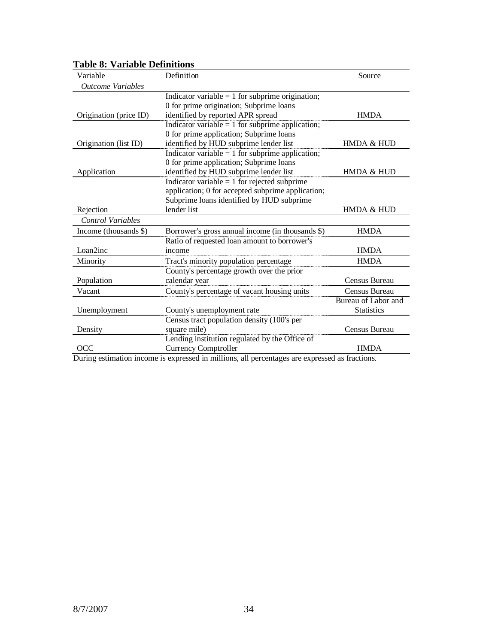| Variable                 | Definition                                         | Source                |
|--------------------------|----------------------------------------------------|-----------------------|
| <b>Outcome Variables</b> |                                                    |                       |
|                          | Indicator variable $= 1$ for subprime origination; |                       |
|                          | 0 for prime origination; Subprime loans            |                       |
| Origination (price ID)   | identified by reported APR spread                  | <b>HMDA</b>           |
|                          | Indicator variable $= 1$ for subprime application; |                       |
|                          | 0 for prime application; Subprime loans            |                       |
| Origination (list ID)    | identified by HUD subprime lender list             | HMDA & HUD            |
|                          | Indicator variable = $1$ for subprime application; |                       |
|                          | 0 for prime application; Subprime loans            |                       |
| Application              | identified by HUD subprime lender list             | <b>HMDA &amp; HUD</b> |
|                          | Indicator variable $= 1$ for rejected subprime     |                       |
|                          | application; 0 for accepted subprime application;  |                       |
|                          | Subprime loans identified by HUD subprime          |                       |
| Rejection                | lender list                                        | <b>HMDA &amp; HUD</b> |
| <b>Control Variables</b> |                                                    |                       |
| Income (thousands \$)    | Borrower's gross annual income (in thousands \$)   | <b>HMDA</b>           |
|                          | Ratio of requested loan amount to borrower's       |                       |
| Loan2inc                 | income                                             | <b>HMDA</b>           |
| Minority                 | Tract's minority population percentage             | <b>HMDA</b>           |
|                          | County's percentage growth over the prior          |                       |
| Population               | calendar year                                      | Census Bureau         |
| Vacant                   | County's percentage of vacant housing units        | Census Bureau         |
|                          |                                                    | Bureau of Labor and   |
| Unemployment             | County's unemployment rate                         | <b>Statistics</b>     |
|                          | Census tract population density (100's per         |                       |
| Density                  | square mile)                                       | Census Bureau         |
|                          | Lending institution regulated by the Office of     |                       |
| <b>OCC</b>               | <b>Currency Comptroller</b>                        | <b>HMDA</b>           |

**Table 8: Variable Definitions**

During estimation income is expressed in millions, all percentages are expressed as fractions.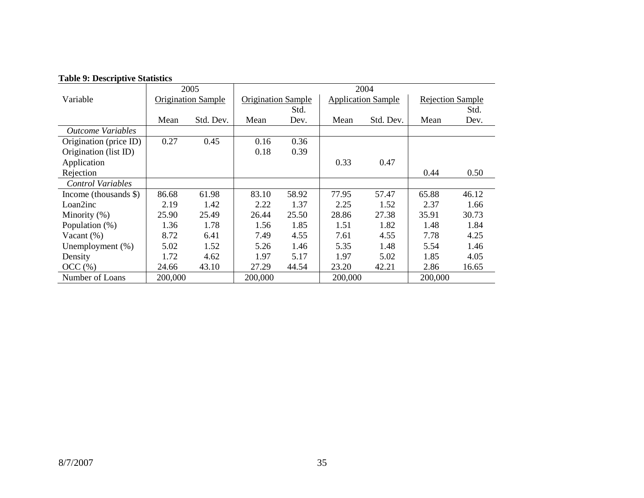|                          | 2005    |                           | 2004    |                                                        |         |           |                         |       |
|--------------------------|---------|---------------------------|---------|--------------------------------------------------------|---------|-----------|-------------------------|-------|
| Variable                 |         | <b>Origination Sample</b> |         | <b>Application Sample</b><br><b>Origination Sample</b> |         |           | <b>Rejection Sample</b> |       |
|                          |         |                           |         | Std.                                                   |         |           |                         | Std.  |
|                          | Mean    | Std. Dev.                 | Mean    | Dev.                                                   | Mean    | Std. Dev. | Mean                    | Dev.  |
| <b>Outcome Variables</b> |         |                           |         |                                                        |         |           |                         |       |
| Origination (price ID)   | 0.27    | 0.45                      | 0.16    | 0.36                                                   |         |           |                         |       |
| Origination (list ID)    |         |                           | 0.18    | 0.39                                                   |         |           |                         |       |
| Application              |         |                           |         |                                                        | 0.33    | 0.47      |                         |       |
| Rejection                |         |                           |         |                                                        |         |           | 0.44                    | 0.50  |
| <b>Control Variables</b> |         |                           |         |                                                        |         |           |                         |       |
| Income (thousands \$)    | 86.68   | 61.98                     | 83.10   | 58.92                                                  | 77.95   | 57.47     | 65.88                   | 46.12 |
| Loan2inc                 | 2.19    | 1.42                      | 2.22    | 1.37                                                   | 2.25    | 1.52      | 2.37                    | 1.66  |
| Minority $(\%)$          | 25.90   | 25.49                     | 26.44   | 25.50                                                  | 28.86   | 27.38     | 35.91                   | 30.73 |
| Population (%)           | 1.36    | 1.78                      | 1.56    | 1.85                                                   | 1.51    | 1.82      | 1.48                    | 1.84  |
| Vacant $(\%)$            | 8.72    | 6.41                      | 7.49    | 4.55                                                   | 7.61    | 4.55      | 7.78                    | 4.25  |
| Unemployment $(\%)$      | 5.02    | 1.52                      | 5.26    | 1.46                                                   | 5.35    | 1.48      | 5.54                    | 1.46  |
| Density                  | 1.72    | 4.62                      | 1.97    | 5.17                                                   | 1.97    | 5.02      | 1.85                    | 4.05  |
| $OCC$ $(\%)$             | 24.66   | 43.10                     | 27.29   | 44.54                                                  | 23.20   | 42.21     | 2.86                    | 16.65 |
| Number of Loans          | 200,000 |                           | 200,000 |                                                        | 200,000 |           | 200,000                 |       |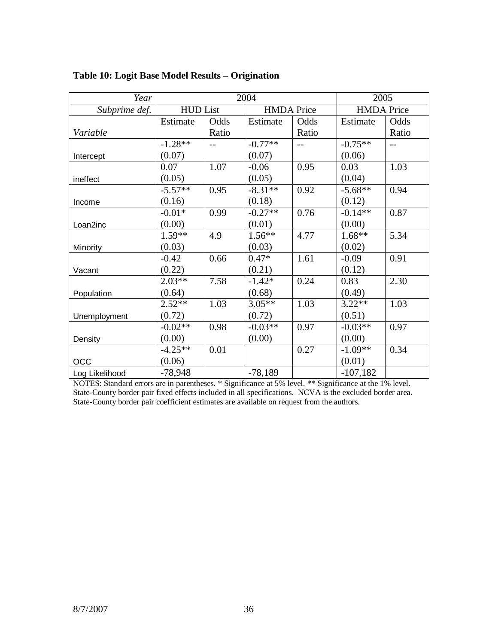| Year           |                 |       | 2004      |                   | 2005       |                   |
|----------------|-----------------|-------|-----------|-------------------|------------|-------------------|
| Subprime def.  | <b>HUD List</b> |       |           | <b>HMDA</b> Price |            | <b>HMDA</b> Price |
|                | Estimate        | Odds  | Estimate  | Odds              | Estimate   | Odds              |
| Variable       |                 | Ratio |           | Ratio             |            | Ratio             |
|                | $-1.28**$       |       | $-0.77**$ | $-$               | $-0.75**$  | $-$               |
| Intercept      | (0.07)          |       | (0.07)    |                   | (0.06)     |                   |
|                | 0.07            | 1.07  | $-0.06$   | 0.95              | 0.03       | 1.03              |
| ineffect       | (0.05)          |       | (0.05)    |                   | (0.04)     |                   |
|                | $-5.57**$       | 0.95  | $-8.31**$ | 0.92              | $-5.68**$  | 0.94              |
| Income         | (0.16)          |       | (0.18)    |                   | (0.12)     |                   |
|                | $-0.01*$        | 0.99  | $-0.27**$ | 0.76              | $-0.14**$  | 0.87              |
| Loan2inc       | (0.00)          |       | (0.01)    |                   | (0.00)     |                   |
|                | $1.59**$        | 4.9   | $1.56**$  | 4.77              | $1.68**$   | 5.34              |
| Minority       | (0.03)          |       | (0.03)    |                   | (0.02)     |                   |
|                | $-0.42$         | 0.66  | $0.47*$   | 1.61              | $-0.09$    | 0.91              |
| Vacant         | (0.22)          |       | (0.21)    |                   | (0.12)     |                   |
|                | $2.03**$        | 7.58  | $-1.42*$  | 0.24              | 0.83       | 2.30              |
| Population     | (0.64)          |       | (0.68)    |                   | (0.49)     |                   |
|                | $2.52**$        | 1.03  | $3.05**$  | 1.03              | $3.22**$   | 1.03              |
| Unemployment   | (0.72)          |       | (0.72)    |                   | (0.51)     |                   |
|                | $-0.02**$       | 0.98  | $-0.03**$ | 0.97              | $-0.03**$  | 0.97              |
| Density        | (0.00)          |       | (0.00)    |                   | (0.00)     |                   |
|                | $-4.25**$       | 0.01  |           | 0.27              | $-1.09**$  | 0.34              |
| <b>OCC</b>     | (0.06)          |       |           |                   | (0.01)     |                   |
| Log Likelihood | $-78,948$       |       | $-78,189$ |                   | $-107,182$ |                   |

## **Table 10: Logit Base Model Results – Origination**

NOTES: Standard errors are in parentheses. \* Significance at 5% level. \*\* Significance at the 1% level. State-County border pair fixed effects included in all specifications. NCVA is the excluded border area. State-County border pair coefficient estimates are available on request from the authors.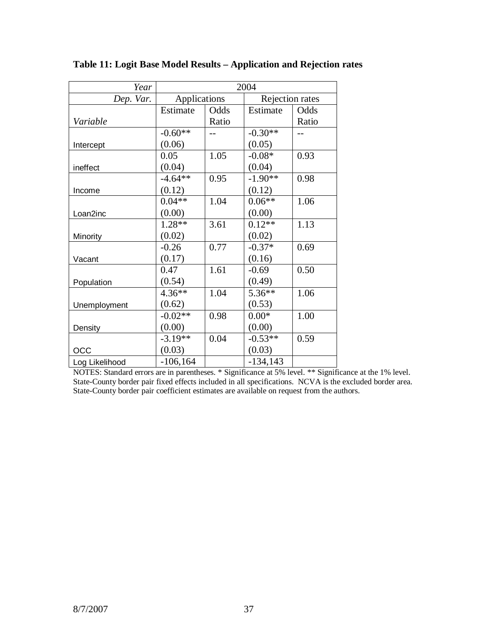| Year           | 2004        |                                 |             |       |  |  |
|----------------|-------------|---------------------------------|-------------|-------|--|--|
| Dep. Var.      |             | Applications<br>Rejection rates |             |       |  |  |
|                | Estimate    | Odds                            | Estimate    | Odds  |  |  |
| Variable       |             | Ratio                           |             | Ratio |  |  |
|                | $-0.60**$   |                                 | $-0.30**$   |       |  |  |
| Intercept      | (0.06)      |                                 | (0.05)      |       |  |  |
|                | 0.05        | 1.05                            | $-0.08*$    | 0.93  |  |  |
| ineffect       | (0.04)      |                                 | (0.04)      |       |  |  |
|                | $-4.64**$   | 0.95                            | $-1.90**$   | 0.98  |  |  |
| Income         | (0.12)      |                                 | (0.12)      |       |  |  |
|                | $0.04**$    | 1.04                            | $0.06**$    | 1.06  |  |  |
| Loan2inc       | (0.00)      |                                 | (0.00)      |       |  |  |
|                | 1.28**      | 3.61                            | $0.12**$    | 1.13  |  |  |
| Minority       | (0.02)      |                                 | (0.02)      |       |  |  |
|                | $-0.26$     | 0.77                            | $-0.37*$    | 0.69  |  |  |
| Vacant         | (0.17)      |                                 | (0.16)      |       |  |  |
|                | 0.47        | 1.61                            | $-0.69$     | 0.50  |  |  |
| Population     | (0.54)      |                                 | (0.49)      |       |  |  |
|                | 4.36**      | 1.04                            | 5.36**      | 1.06  |  |  |
| Unemployment   | (0.62)      |                                 | (0.53)      |       |  |  |
|                | $-0.02**$   | 0.98                            | $0.00*$     | 1.00  |  |  |
| Density        | (0.00)      |                                 | (0.00)      |       |  |  |
|                | $-3.19**$   | 0.04                            | $-0.53**$   | 0.59  |  |  |
| OCC            | (0.03)      |                                 | (0.03)      |       |  |  |
| Log Likelihood | $-106, 164$ |                                 | $-134, 143$ |       |  |  |

**Table 11: Logit Base Model Results – Application and Rejection rates**

NOTES: Standard errors are in parentheses. \* Significance at 5% level. \*\* Significance at the 1% level. State-County border pair fixed effects included in all specifications. NCVA is the excluded border area. State-County border pair coefficient estimates are available on request from the authors.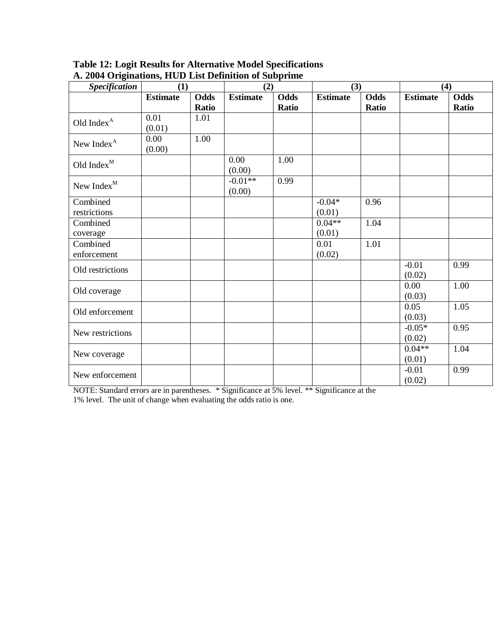| <b>Specification</b>     | (1)             |               | (2)                 |               | (3)                |                             | (4)                |                      |
|--------------------------|-----------------|---------------|---------------------|---------------|--------------------|-----------------------------|--------------------|----------------------|
|                          | <b>Estimate</b> | Odds<br>Ratio | <b>Estimate</b>     | Odds<br>Ratio | <b>Estimate</b>    | <b>Odds</b><br><b>Ratio</b> | <b>Estimate</b>    | <b>Odds</b><br>Ratio |
| Old Index <sup>A</sup>   | 0.01<br>(0.01)  | 1.01          |                     |               |                    |                             |                    |                      |
| New Index <sup>A</sup>   | 0.00<br>(0.00)  | 1.00          |                     |               |                    |                             |                    |                      |
| Old $Index^M$            |                 |               | 0.00<br>(0.00)      | 1.00          |                    |                             |                    |                      |
| New Index $^M$           |                 |               | $-0.01**$<br>(0.00) | 0.99          |                    |                             |                    |                      |
| Combined<br>restrictions |                 |               |                     |               | $-0.04*$<br>(0.01) | 0.96                        |                    |                      |
| Combined<br>coverage     |                 |               |                     |               | $0.04**$<br>(0.01) | 1.04                        |                    |                      |
| Combined<br>enforcement  |                 |               |                     |               | 0.01<br>(0.02)     | 1.01                        |                    |                      |
| Old restrictions         |                 |               |                     |               |                    |                             | $-0.01$<br>(0.02)  | 0.99                 |
| Old coverage             |                 |               |                     |               |                    |                             | 0.00<br>(0.03)     | 1.00                 |
| Old enforcement          |                 |               |                     |               |                    |                             | 0.05<br>(0.03)     | 1.05                 |
| New restrictions         |                 |               |                     |               |                    |                             | $-0.05*$<br>(0.02) | 0.95                 |
| New coverage             |                 |               |                     |               |                    |                             | $0.04**$<br>(0.01) | 1.04                 |
| New enforcement          |                 |               |                     |               |                    |                             | $-0.01$<br>(0.02)  | 0.99                 |

**Table 12: Logit Results for Alternative Model Specifications A. 2004 Originations, HUD List Definition of Subprime**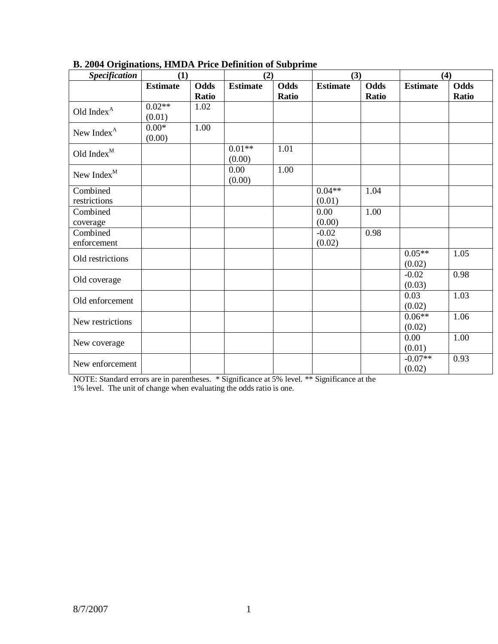| <b>Specification</b>                      | (1)                |               | (2)                         |               | (3)                |                      | (4)                 |                      |
|-------------------------------------------|--------------------|---------------|-----------------------------|---------------|--------------------|----------------------|---------------------|----------------------|
|                                           | <b>Estimate</b>    | Odds<br>Ratio | <b>Estimate</b>             | Odds<br>Ratio | <b>Estimate</b>    | <b>Odds</b><br>Ratio | <b>Estimate</b>     | Odds<br><b>Ratio</b> |
| Old Index $A$                             | $0.02**$<br>(0.01) | 1.02          |                             |               |                    |                      |                     |                      |
| New Index <sup>A</sup>                    | $0.00*$<br>(0.00)  | 1.00          |                             |               |                    |                      |                     |                      |
| Old $Index^M$                             |                    |               | $0.01**$<br>(0.00)          | 1.01          |                    |                      |                     |                      |
| $\hbox{New Index}^{\hbox{\scriptsize M}}$ |                    |               | $\overline{0.00}$<br>(0.00) | 1.00          |                    |                      |                     |                      |
| Combined<br>restrictions                  |                    |               |                             |               | $0.04**$<br>(0.01) | 1.04                 |                     |                      |
| Combined<br>coverage                      |                    |               |                             |               | 0.00<br>(0.00)     | 1.00                 |                     |                      |
| Combined<br>enforcement                   |                    |               |                             |               | $-0.02$<br>(0.02)  | 0.98                 |                     |                      |
| Old restrictions                          |                    |               |                             |               |                    |                      | $0.05**$<br>(0.02)  | 1.05                 |
| Old coverage                              |                    |               |                             |               |                    |                      | $-0.02$<br>(0.03)   | 0.98                 |
| Old enforcement                           |                    |               |                             |               |                    |                      | 0.03<br>(0.02)      | 1.03                 |
| New restrictions                          |                    |               |                             |               |                    |                      | $0.06**$<br>(0.02)  | 1.06                 |
| New coverage                              |                    |               |                             |               |                    |                      | 0.00<br>(0.01)      | 1.00                 |
| New enforcement                           |                    |               |                             |               |                    |                      | $-0.07**$<br>(0.02) | 0.93                 |

# **B. 2004 Originations, HMDA Price Definition of Subprime**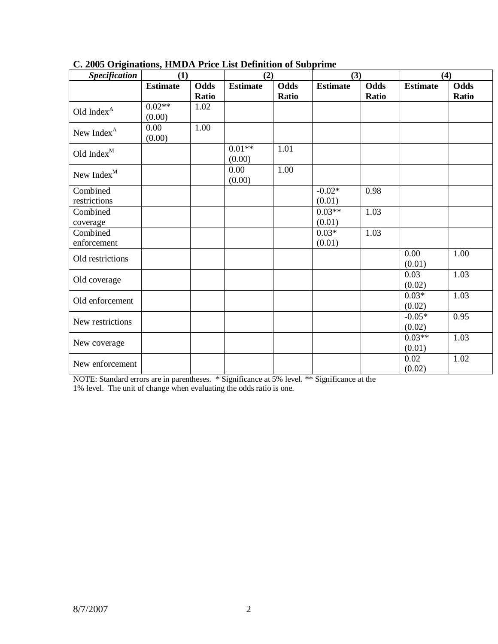| <b>Specification</b>                      | (1)                |               | (2)                         |                      | (3)                |               | (4)                |               |
|-------------------------------------------|--------------------|---------------|-----------------------------|----------------------|--------------------|---------------|--------------------|---------------|
|                                           | <b>Estimate</b>    | Odds<br>Ratio | <b>Estimate</b>             | Odds<br><b>Ratio</b> | <b>Estimate</b>    | Odds<br>Ratio | <b>Estimate</b>    | Odds<br>Ratio |
| Old Index <sup>A</sup>                    | $0.02**$<br>(0.00) | 1.02          |                             |                      |                    |               |                    |               |
| New $IndexA$                              | 0.00<br>(0.00)     | 1.00          |                             |                      |                    |               |                    |               |
| Old $Index^M$                             |                    |               | $0.01**$<br>(0.00)          | 1.01                 |                    |               |                    |               |
| $\hbox{New Index}^{\hbox{\scriptsize M}}$ |                    |               | $\overline{0.00}$<br>(0.00) | 1.00                 |                    |               |                    |               |
| Combined<br>restrictions                  |                    |               |                             |                      | $-0.02*$<br>(0.01) | 0.98          |                    |               |
| Combined<br>coverage                      |                    |               |                             |                      | $0.03**$<br>(0.01) | 1.03          |                    |               |
| Combined<br>enforcement                   |                    |               |                             |                      | $0.03*$<br>(0.01)  | 1.03          |                    |               |
| Old restrictions                          |                    |               |                             |                      |                    |               | 0.00<br>(0.01)     | 1.00          |
| Old coverage                              |                    |               |                             |                      |                    |               | 0.03<br>(0.02)     | 1.03          |
| Old enforcement                           |                    |               |                             |                      |                    |               | $0.03*$<br>(0.02)  | 1.03          |
| New restrictions                          |                    |               |                             |                      |                    |               | $-0.05*$<br>(0.02) | 0.95          |
| New coverage                              |                    |               |                             |                      |                    |               | $0.03**$<br>(0.01) | 1.03          |
| New enforcement                           |                    |               |                             |                      |                    |               | 0.02<br>(0.02)     | 1.02          |

# **C. 2005 Originations, HMDA Price List Definition of Subprime**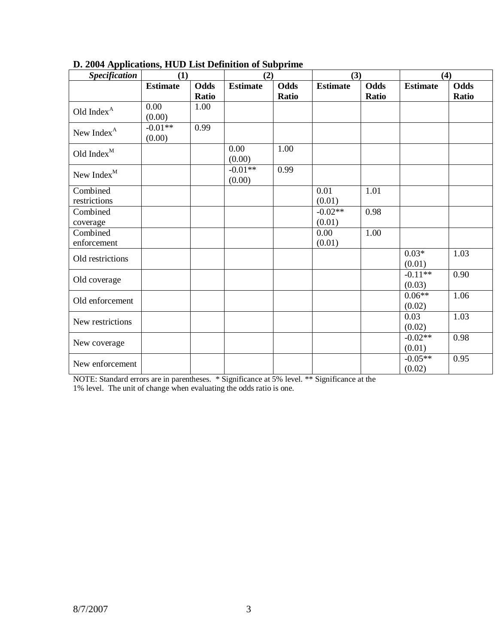| <b>Specification</b>                      | (1)                 |                      | (2)                 |               | (3)                 |               | (4)                 |                      |
|-------------------------------------------|---------------------|----------------------|---------------------|---------------|---------------------|---------------|---------------------|----------------------|
|                                           | <b>Estimate</b>     | Odds<br><b>Ratio</b> | <b>Estimate</b>     | Odds<br>Ratio | <b>Estimate</b>     | Odds<br>Ratio | <b>Estimate</b>     | Odds<br><b>Ratio</b> |
| Old Index $A$                             | 0.00<br>(0.00)      | 1.00                 |                     |               |                     |               |                     |                      |
| New Index <sup>A</sup>                    | $-0.01**$<br>(0.00) | 0.99                 |                     |               |                     |               |                     |                      |
| Old $Index^M$                             |                     |                      | 0.00<br>(0.00)      | 1.00          |                     |               |                     |                      |
| $\hbox{New Index}^{\hbox{\scriptsize M}}$ |                     |                      | $-0.01**$<br>(0.00) | 0.99          |                     |               |                     |                      |
| Combined<br>restrictions                  |                     |                      |                     |               | 0.01<br>(0.01)      | 1.01          |                     |                      |
| Combined<br>coverage                      |                     |                      |                     |               | $-0.02**$<br>(0.01) | 0.98          |                     |                      |
| Combined<br>enforcement                   |                     |                      |                     |               | 0.00<br>(0.01)      | 1.00          |                     |                      |
| Old restrictions                          |                     |                      |                     |               |                     |               | $0.03*$<br>(0.01)   | 1.03                 |
| Old coverage                              |                     |                      |                     |               |                     |               | $-0.11**$<br>(0.03) | 0.90                 |
| Old enforcement                           |                     |                      |                     |               |                     |               | $0.06**$<br>(0.02)  | 1.06                 |
| New restrictions                          |                     |                      |                     |               |                     |               | 0.03<br>(0.02)      | 1.03                 |
| New coverage                              |                     |                      |                     |               |                     |               | $-0.02**$<br>(0.01) | 0.98                 |
| New enforcement                           |                     |                      |                     |               |                     |               | $-0.05**$<br>(0.02) | 0.95                 |

# **D. 2004 Applications, HUD List Definition of Subprime**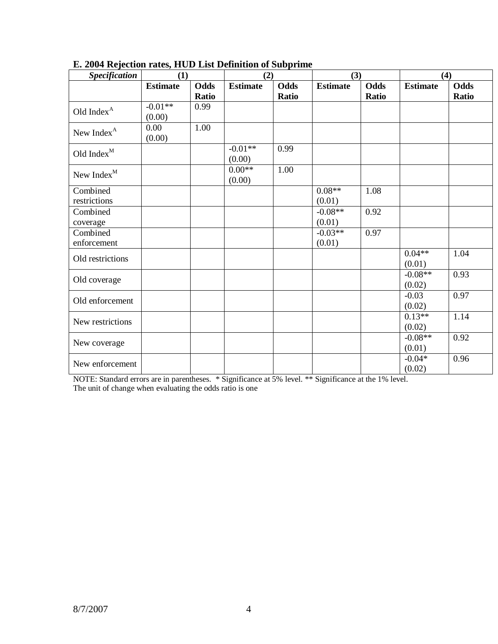| <b>Specification</b>            | (1)                 |                      | (2)                 |                      | (3)                 |               | (4)                 |                             |
|---------------------------------|---------------------|----------------------|---------------------|----------------------|---------------------|---------------|---------------------|-----------------------------|
|                                 | <b>Estimate</b>     | Odds<br><b>Ratio</b> | <b>Estimate</b>     | Odds<br><b>Ratio</b> | <b>Estimate</b>     | Odds<br>Ratio | <b>Estimate</b>     | <b>Odds</b><br><b>Ratio</b> |
| Old Index $A$                   | $-0.01**$<br>(0.00) | 0.99                 |                     |                      |                     |               |                     |                             |
| New Index <sup>A</sup>          | 0.00<br>(0.00)      | 1.00                 |                     |                      |                     |               |                     |                             |
| Old $\mathbf{Index}^\mathbf{M}$ |                     |                      | $-0.01**$<br>(0.00) | 0.99                 |                     |               |                     |                             |
| New Index $^M$                  |                     |                      | $0.00**$<br>(0.00)  | 1.00                 |                     |               |                     |                             |
| Combined<br>restrictions        |                     |                      |                     |                      | $0.08**$<br>(0.01)  | 1.08          |                     |                             |
| Combined<br>coverage            |                     |                      |                     |                      | $-0.08**$<br>(0.01) | 0.92          |                     |                             |
| Combined<br>enforcement         |                     |                      |                     |                      | $-0.03**$<br>(0.01) | 0.97          |                     |                             |
| Old restrictions                |                     |                      |                     |                      |                     |               | $0.04**$<br>(0.01)  | 1.04                        |
| Old coverage                    |                     |                      |                     |                      |                     |               | $-0.08**$<br>(0.02) | 0.93                        |
| Old enforcement                 |                     |                      |                     |                      |                     |               | $-0.03$<br>(0.02)   | 0.97                        |
| New restrictions                |                     |                      |                     |                      |                     |               | $0.13**$<br>(0.02)  | 1.14                        |
| New coverage                    |                     |                      |                     |                      |                     |               | $-0.08**$<br>(0.01) | 0.92                        |
| New enforcement                 |                     |                      |                     |                      |                     |               | $-0.04*$<br>(0.02)  | 0.96                        |

# **E. 2004 Rejection rates, HUD List Definition of Subprime**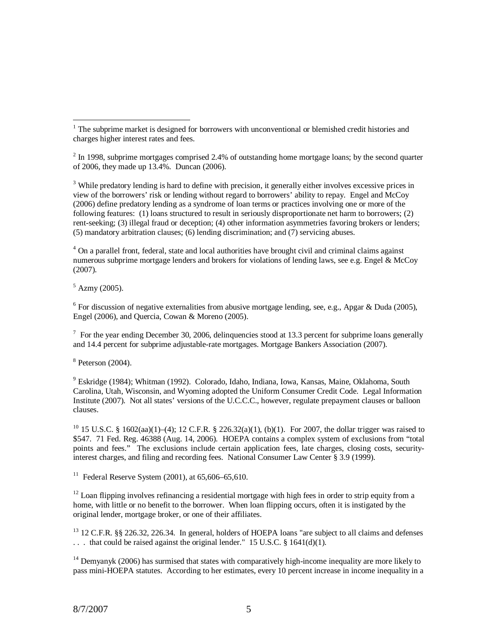$2$  In 1998, subprime mortgages comprised 2.4% of outstanding home mortgage loans; by the second quarter of 2006, they made up 13.4%. Duncan (2006).

 $3$  While predatory lending is hard to define with precision, it generally either involves excessive prices in view of the borrowers' risk or lending without regard to borrowers' ability to repay. Engel and McCoy (2006) define predatory lending as a syndrome of loan terms or practices involving one or more of the following features: (1) loans structured to result in seriously disproportionate net harm to borrowers; (2) rent-seeking; (3) illegal fraud or deception; (4) other information asymmetries favoring brokers or lenders; (5) mandatory arbitration clauses; (6) lending discrimination; and (7) servicing abuses.

 $4$  On a parallel front, federal, state and local authorities have brought civil and criminal claims against numerous subprime mortgage lenders and brokers for violations of lending laws, see e.g. Engel & McCoy (2007).

 $5$  Azmy (2005).

 $6$  For discussion of negative externalities from abusive mortgage lending, see, e.g., Apgar & Duda (2005), Engel (2006), and Quercia, Cowan & Moreno (2005).

 $7$  For the year ending December 30, 2006, delinquencies stood at 13.3 percent for subprime loans generally and 14.4 percent for subprime adjustable-rate mortgages. Mortgage Bankers Association (2007).

8 Peterson (2004).

<sup>9</sup> Eskridge (1984); Whitman (1992). Colorado, Idaho, Indiana, Iowa, Kansas, Maine, Oklahoma, South Carolina, Utah, Wisconsin, and Wyoming adopted the Uniform Consumer Credit Code. Legal Information Institute (2007). Not all states' versions of the U.C.C.C., however, regulate prepayment clauses or balloon clauses.

<sup>10</sup> 15 U.S.C. § 1602(aa)(1)–(4); 12 C.F.R. § 226.32(a)(1), (b)(1). For 2007, the dollar trigger was raised to \$547. 71 Fed. Reg. 46388 (Aug. 14, 2006). HOEPA contains a complex system of exclusions from "total points and fees." The exclusions include certain application fees, late charges, closing costs, securityinterest charges, and filing and recording fees. National Consumer Law Center § 3.9 (1999).

<sup>11</sup> Federal Reserve System (2001), at  $65,606-65,610$ .

 $12$  Loan flipping involves refinancing a residential mortgage with high fees in order to strip equity from a home, with little or no benefit to the borrower. When loan flipping occurs, often it is instigated by the original lender, mortgage broker, or one of their affiliates.

<sup>13</sup> 12 C.F.R. §§ 226.32, 226.34. In general, holders of HOEPA loans "are subject to all claims and defenses ... that could be raised against the original lender." 15 U.S.C. § 1641(d)(1).

 $14$  Demyanyk (2006) has surmised that states with comparatively high-income inequality are more likely to pass mini-HOEPA statutes. According to her estimates, every 10 percent increase in income inequality in a

 $1$  The subprime market is designed for borrowers with unconventional or blemished credit histories and charges higher interest rates and fees.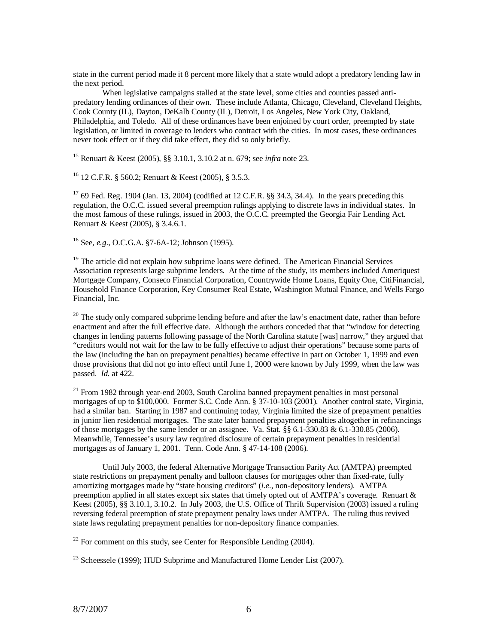state in the current period made it 8 percent more likely that a state would adopt a predatory lending law in the next period.

When legislative campaigns stalled at the state level, some cities and counties passed antipredatory lending ordinances of their own. These include Atlanta, Chicago, Cleveland, Cleveland Heights, Cook County (IL), Dayton, DeKalb County (IL), Detroit, Los Angeles, New York City, Oakland, Philadelphia, and Toledo. All of these ordinances have been enjoined by court order, preempted by state legislation, or limited in coverage to lenders who contract with the cities. In most cases, these ordinances never took effect or if they did take effect, they did so only briefly.

<sup>15</sup> Renuart & Keest (2005), §§ 3.10.1, 3.10.2 at n. 679; see *infra* note 23.

16 12 C.F.R. § 560.2; Renuart & Keest (2005), § 3.5.3.

 $17$  69 Fed. Reg. 1904 (Jan. 13, 2004) (codified at 12 C.F.R. §§ 34.3, 34.4). In the years preceding this regulation, the O.C.C. issued several preemption rulings applying to discrete laws in individual states. In the most famous of these rulings, issued in 2003, the O.C.C. preempted the Georgia Fair Lending Act. Renuart & Keest (2005), § 3.4.6.1.

18 See, *e.g*., O.C.G.A. §7-6A-12; Johnson (1995).

 $19$  The article did not explain how subprime loans were defined. The American Financial Services Association represents large subprime lenders. At the time of the study, its members included Ameriquest Mortgage Company, Conseco Financial Corporation, Countrywide Home Loans, Equity One, CitiFinancial, Household Finance Corporation, Key Consumer Real Estate, Washington Mutual Finance, and Wells Fargo Financial, Inc.

 $20$  The study only compared subprime lending before and after the law's enactment date, rather than before enactment and after the full effective date. Although the authors conceded that that "window for detecting changes in lending patterns following passage of the North Carolina statute [was] narrow," they argued that "creditors would not wait for the law to be fully effective to adjust their operations" because some parts of the law (including the ban on prepayment penalties) became effective in part on October 1, 1999 and even those provisions that did not go into effect until June 1, 2000 were known by July 1999, when the law was passed. *Id.* at 422.

<sup>21</sup> From 1982 through year-end 2003, South Carolina banned prepayment penalties in most personal mortgages of up to \$100,000. Former S.C. Code Ann. § 37-10-103 (2001). Another control state, Virginia, had a similar ban. Starting in 1987 and continuing today, Virginia limited the size of prepayment penalties in junior lien residential mortgages. The state later banned prepayment penalties altogether in refinancings of those mortgages by the same lender or an assignee. Va. Stat.  $\S$ § 6.1-330.83 & 6.1-330.85 (2006). Meanwhile, Tennessee's usury law required disclosure of certain prepayment penalties in residential mortgages as of January 1, 2001. Tenn. Code Ann. § 47-14-108 (2006).

Until July 2003, the federal Alternative Mortgage Transaction Parity Act (AMTPA) preempted state restrictions on prepayment penalty and balloon clauses for mortgages other than fixed-rate, fully amortizing mortgages made by "state housing creditors" (*i.e.*, non-depository lenders). AMTPA preemption applied in all states except six states that timely opted out of AMTPA's coverage. Renuart & Keest (2005), §§ 3.10.1, 3.10.2. In July 2003, the U.S. Office of Thrift Supervision (2003) issued a ruling reversing federal preemption of state prepayment penalty laws under AMTPA. The ruling thus revived state laws regulating prepayment penalties for non-depository finance companies.

 $22$  For comment on this study, see Center for Responsible Lending (2004).

<sup>23</sup> Scheessele (1999); HUD Subprime and Manufactured Home Lender List (2007).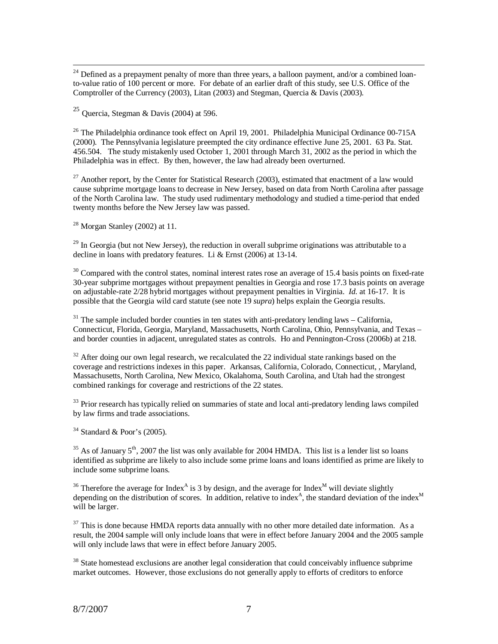<sup>24</sup> Defined as a prepayment penalty of more than three years, a balloon payment, and/or a combined loanto-value ratio of 100 percent or more. For debate of an earlier draft of this study, see U.S. Office of the Comptroller of the Currency (2003), Litan (2003) and Stegman, Quercia & Davis (2003).

 $25$  Quercia, Stegman & Davis (2004) at 596.

<sup>26</sup> The Philadelphia ordinance took effect on April 19, 2001. Philadelphia Municipal Ordinance 00-715A (2000). The Pennsylvania legislature preempted the city ordinance effective June 25, 2001. 63 Pa. Stat. 456.504. The study mistakenly used October 1, 2001 through March 31, 2002 as the period in which the Philadelphia was in effect. By then, however, the law had already been overturned.

<sup>27</sup> Another report, by the Center for Statistical Research (2003), estimated that enactment of a law would cause subprime mortgage loans to decrease in New Jersey, based on data from North Carolina after passage of the North Carolina law. The study used rudimentary methodology and studied a time-period that ended twenty months before the New Jersey law was passed.

 $28$  Morgan Stanley (2002) at 11.

<sup>29</sup> In Georgia (but not New Jersey), the reduction in overall subprime originations was attributable to a decline in loans with predatory features. Li & Ernst (2006) at 13-14.

<sup>30</sup> Compared with the control states, nominal interest rates rose an average of 15.4 basis points on fixed-rate 30-year subprime mortgages without prepayment penalties in Georgia and rose 17.3 basis points on average on adjustable-rate 2/28 hybrid mortgages without prepayment penalties in Virginia. *Id*. at 16-17. It is possible that the Georgia wild card statute (see note 19 *supra*) helps explain the Georgia results.

 $31$  The sample included border counties in ten states with anti-predatory lending laws – California, Connecticut, Florida, Georgia, Maryland, Massachusetts, North Carolina, Ohio, Pennsylvania, and Texas – and border counties in adjacent, unregulated states as controls. Ho and Pennington-Cross (2006b) at 218.

 $32$  After doing our own legal research, we recalculated the 22 individual state rankings based on the coverage and restrictions indexes in this paper. Arkansas, California, Colorado, Connecticut, , Maryland, Massachusetts, North Carolina, New Mexico, Okalahoma, South Carolina, and Utah had the strongest combined rankings for coverage and restrictions of the 22 states.

<sup>33</sup> Prior research has typically relied on summaries of state and local anti-predatory lending laws compiled by law firms and trade associations.

34 Standard & Poor's (2005).

 $35$  As of January  $5<sup>th</sup>$ , 2007 the list was only available for 2004 HMDA. This list is a lender list so loans identified as subprime are likely to also include some prime loans and loans identified as prime are likely to include some subprime loans.

<sup>36</sup> Therefore the average for Index<sup>A</sup> is 3 by design, and the average for Index<sup>M</sup> will deviate slightly depending on the distribution of scores. In addition, relative to index<sup>A</sup>, the standard deviation of the index<sup>M</sup> will be larger.

 $37$  This is done because HMDA reports data annually with no other more detailed date information. As a result, the 2004 sample will only include loans that were in effect before January 2004 and the 2005 sample will only include laws that were in effect before January 2005.

<sup>38</sup> State homestead exclusions are another legal consideration that could conceivably influence subprime market outcomes. However, those exclusions do not generally apply to efforts of creditors to enforce